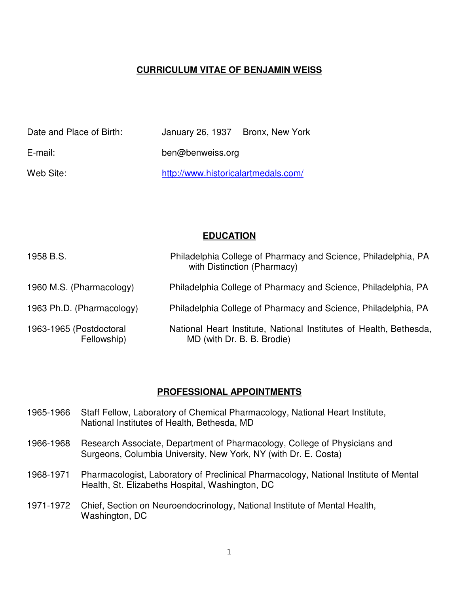## **CURRICULUM VITAE OF BENJAMIN WEISS**

| Date and Place of Birth: | January 26, 1937 Bronx, New York    |  |
|--------------------------|-------------------------------------|--|
| E-mail:                  | ben@benweiss.org                    |  |
| Web Site:                | http://www.historicalartmedals.com/ |  |

#### **EDUCATION**

| 1958 B.S.                              | Philadelphia College of Pharmacy and Science, Philadelphia, PA<br>with Distinction (Pharmacy)    |
|----------------------------------------|--------------------------------------------------------------------------------------------------|
| 1960 M.S. (Pharmacology)               | Philadelphia College of Pharmacy and Science, Philadelphia, PA                                   |
| 1963 Ph.D. (Pharmacology)              | Philadelphia College of Pharmacy and Science, Philadelphia, PA                                   |
| 1963-1965 (Postdoctoral<br>Fellowship) | National Heart Institute, National Institutes of Health, Bethesda,<br>MD (with Dr. B. B. Brodie) |

#### **PROFESSIONAL APPOINTMENTS**

- 1965-1966 Staff Fellow, Laboratory of Chemical Pharmacology, National Heart Institute, National Institutes of Health, Bethesda, MD
- 1966-1968 Research Associate, Department of Pharmacology, College of Physicians and Surgeons, Columbia University, New York, NY (with Dr. E. Costa)
- 1968-1971 Pharmacologist, Laboratory of Preclinical Pharmacology, National Institute of Mental Health, St. Elizabeths Hospital, Washington, DC
- 1971-1972 Chief, Section on Neuroendocrinology, National Institute of Mental Health, Washington, DC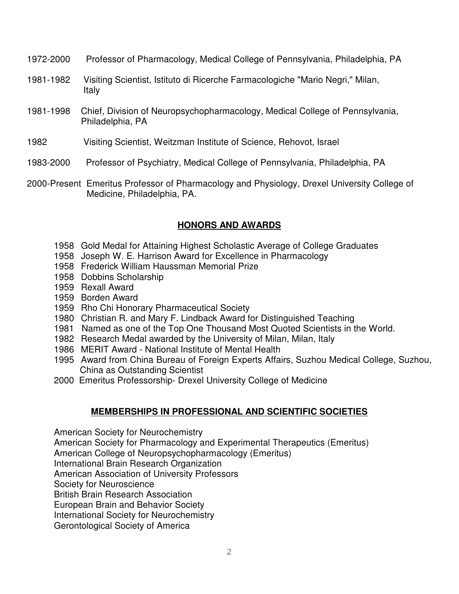- 1972-2000 Professor of Pharmacology, Medical College of Pennsylvania, Philadelphia, PA
- 1981-1982 Visiting Scientist, Istituto di Ricerche Farmacologiche "Mario Negri," Milan, Italy
- 1981-1998 Chief, Division of Neuropsychopharmacology, Medical College of Pennsylvania, Philadelphia, PA
- 1982 Visiting Scientist, Weitzman Institute of Science, Rehovot, Israel
- 1983-2000 Professor of Psychiatry, Medical College of Pennsylvania, Philadelphia, PA
- 2000-Present Emeritus Professor of Pharmacology and Physiology, Drexel University College of Medicine, Philadelphia, PA.

## **HONORS AND AWARDS**

- 1958 Gold Medal for Attaining Highest Scholastic Average of College Graduates
- 1958 Joseph W. E. Harrison Award for Excellence in Pharmacology
- 1958 Frederick William Haussman Memorial Prize
- 1958 Dobbins Scholarship
- 1959 Rexall Award
- 1959 Borden Award
- 1959 Rho Chi Honorary Pharmaceutical Society
- 1980 Christian R. and Mary F. Lindback Award for Distinguished Teaching
- 1981 Named as one of the Top One Thousand Most Quoted Scientists in the World.
- 1982 Research Medal awarded by the University of Milan, Milan, Italy
- 1986 MERIT Award National Institute of Mental Health
- 1995 Award from China Bureau of Foreign Experts Affairs, Suzhou Medical College, Suzhou, China as Outstanding Scientist
- 2000 Emeritus Professorship- Drexel University College of Medicine

## **MEMBERSHIPS IN PROFESSIONAL AND SCIENTIFIC SOCIETIES**

American Society for Neurochemistry

American Society for Pharmacology and Experimental Therapeutics (Emeritus)

- American College of Neuropsychopharmacology (Emeritus)
- International Brain Research Organization

American Association of University Professors

Society for Neuroscience

British Brain Research Association

European Brain and Behavior Society

International Society for Neurochemistry

Gerontological Society of America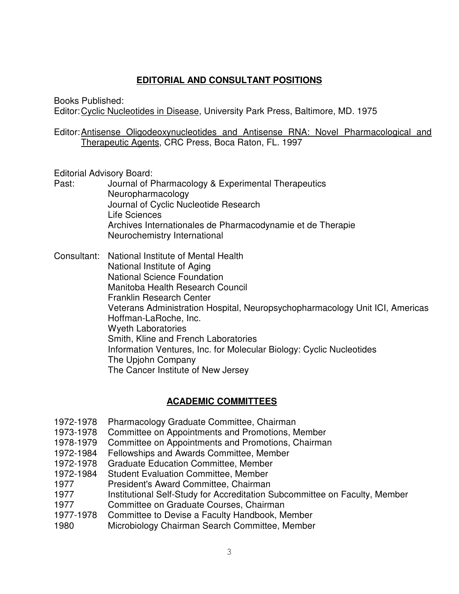## **EDITORIAL AND CONSULTANT POSITIONS**

Books Published:

Editor:Cyclic Nucleotides in Disease, University Park Press, Baltimore, MD. 1975

Editor:Antisense Oligodeoxynucleotides and Antisense RNA: Novel Pharmacological and Therapeutic Agents, CRC Press, Boca Raton, FL. 1997

Editorial Advisory Board:

Past: Journal of Pharmacology & Experimental Therapeutics Neuropharmacology Journal of Cyclic Nucleotide Research Life Sciences Archives Internationales de Pharmacodynamie et de Therapie Neurochemistry International

Consultant: National Institute of Mental Health National Institute of Aging National Science Foundation Manitoba Health Research Council Franklin Research Center Veterans Administration Hospital, Neuropsychopharmacology Unit ICI, Americas Hoffman-LaRoche, Inc. Wyeth Laboratories Smith, Kline and French Laboratories Information Ventures, Inc. for Molecular Biology: Cyclic Nucleotides The Upjohn Company The Cancer Institute of New Jersey

## **ACADEMIC COMMITTEES**

- 1972-1978 Pharmacology Graduate Committee, Chairman
- 1973-1978 Committee on Appointments and Promotions, Member
- 1978-1979 Committee on Appointments and Promotions, Chairman
- 1972-1984 Fellowships and Awards Committee, Member
- 1972-1978 Graduate Education Committee, Member
- 1972-1984 Student Evaluation Committee, Member
- 1977 President's Award Committee, Chairman
- 1977 Institutional Self-Study for Accreditation Subcommittee on Faculty, Member
- 1977 Committee on Graduate Courses, Chairman
- 1977-1978 Committee to Devise a Faculty Handbook, Member
- 1980 Microbiology Chairman Search Committee, Member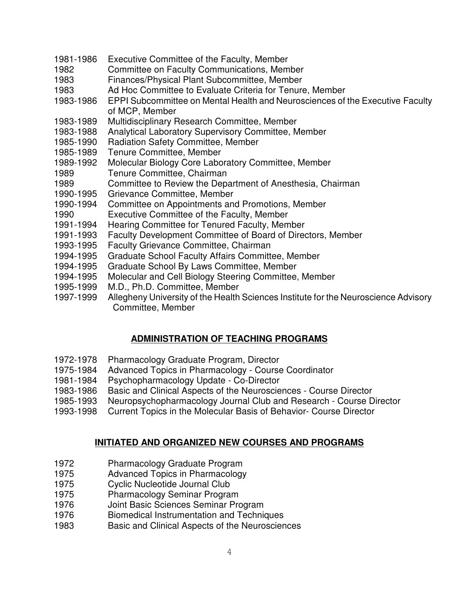- 1981-1986 Executive Committee of the Faculty, Member
- 1982 Committee on Faculty Communications, Member
- 1983 Finances/Physical Plant Subcommittee, Member
- 1983 Ad Hoc Committee to Evaluate Criteria for Tenure, Member
- 1983-1986 EPPI Subcommittee on Mental Health and Neurosciences of the Executive Faculty of MCP, Member
- 1983-1989 Multidisciplinary Research Committee, Member
- 1983-1988 Analytical Laboratory Supervisory Committee, Member
- 1985-1990 Radiation Safety Committee, Member
- 1985-1989 Tenure Committee, Member
- 1989-1992 Molecular Biology Core Laboratory Committee, Member
- 1989 Tenure Committee, Chairman
- 1989 Committee to Review the Department of Anesthesia, Chairman
- 1990-1995 Grievance Committee, Member
- 1990-1994 Committee on Appointments and Promotions, Member
- 1990 Executive Committee of the Faculty, Member
- 1991-1994 Hearing Committee for Tenured Faculty, Member
- 1991-1993 Faculty Development Committee of Board of Directors, Member
- 1993-1995 Faculty Grievance Committee, Chairman
- 1994-1995 Graduate School Faculty Affairs Committee, Member
- 1994-1995 Graduate School By Laws Committee, Member
- 1994-1995 Molecular and Cell Biology Steering Committee, Member
- 1995-1999 M.D., Ph.D. Committee, Member
- 1997-1999 Allegheny University of the Health Sciences Institute for the Neuroscience Advisory Committee, Member

## **ADMINISTRATION OF TEACHING PROGRAMS**

- 1972-1978 Pharmacology Graduate Program, Director
- 1975-1984 Advanced Topics in Pharmacology Course Coordinator
- 1981-1984 Psychopharmacology Update Co-Director
- 1983-1986 Basic and Clinical Aspects of the Neurosciences Course Director
- 1985-1993 Neuropsychopharmacology Journal Club and Research Course Director
- 1993-1998 Current Topics in the Molecular Basis of Behavior- Course Director

## **INITIATED AND ORGANIZED NEW COURSES AND PROGRAMS**

- 1972 Pharmacology Graduate Program
- 1975 Advanced Topics in Pharmacology
- 1975 Cyclic Nucleotide Journal Club
- 1975 Pharmacology Seminar Program
- 1976 Joint Basic Sciences Seminar Program
- 1976 Biomedical Instrumentation and Techniques
- 1983 Basic and Clinical Aspects of the Neurosciences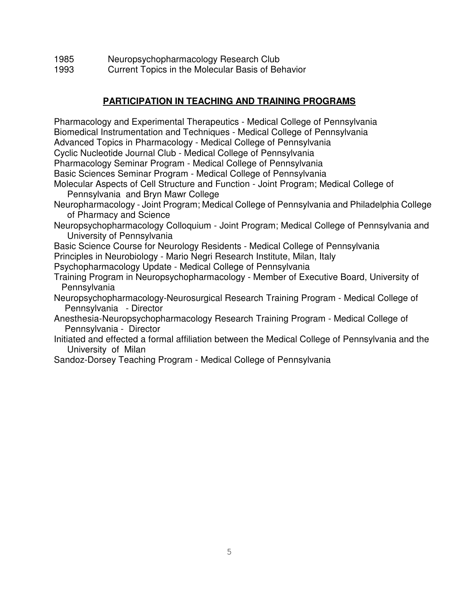- 1985 Neuropsychopharmacology Research Club
- 1993 Current Topics in the Molecular Basis of Behavior

## **PARTICIPATION IN TEACHING AND TRAINING PROGRAMS**

Pharmacology and Experimental Therapeutics - Medical College of Pennsylvania Biomedical Instrumentation and Techniques - Medical College of Pennsylvania Advanced Topics in Pharmacology - Medical College of Pennsylvania Cyclic Nucleotide Journal Club - Medical College of Pennsylvania Pharmacology Seminar Program - Medical College of Pennsylvania Basic Sciences Seminar Program - Medical College of Pennsylvania Molecular Aspects of Cell Structure and Function - Joint Program; Medical College of Pennsylvania and Bryn Mawr College Neuropharmacology - Joint Program; Medical College of Pennsylvania and Philadelphia College of Pharmacy and Science Neuropsychopharmacology Colloquium - Joint Program; Medical College of Pennsylvania and University of Pennsylvania Basic Science Course for Neurology Residents - Medical College of Pennsylvania Principles in Neurobiology - Mario Negri Research Institute, Milan, Italy Psychopharmacology Update - Medical College of Pennsylvania Training Program in Neuropsychopharmacology - Member of Executive Board, University of Pennsylvania Neuropsychopharmacology-Neurosurgical Research Training Program - Medical College of Pennsylvania - Director Anesthesia-Neuropsychopharmacology Research Training Program - Medical College of Pennsylvania - Director Initiated and effected a formal affiliation between the Medical College of Pennsylvania and the University of Milan Sandoz-Dorsey Teaching Program - Medical College of Pennsylvania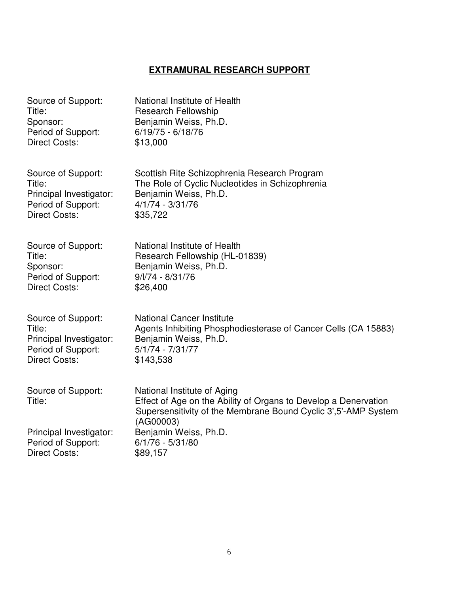## **EXTRAMURAL RESEARCH SUPPORT**

| Source of Support:           | National Institute of Health                                                                                                                                                   |
|------------------------------|--------------------------------------------------------------------------------------------------------------------------------------------------------------------------------|
| Title:                       | <b>Research Fellowship</b>                                                                                                                                                     |
| Sponsor:                     | Benjamin Weiss, Ph.D.                                                                                                                                                          |
| Period of Support:           | $6/19/75 - 6/18/76$                                                                                                                                                            |
| <b>Direct Costs:</b>         | \$13,000                                                                                                                                                                       |
| Source of Support:           | Scottish Rite Schizophrenia Research Program                                                                                                                                   |
| Title:                       | The Role of Cyclic Nucleotides in Schizophrenia                                                                                                                                |
| Principal Investigator:      | Benjamin Weiss, Ph.D.                                                                                                                                                          |
| Period of Support:           | $4/1/74 - 3/31/76$                                                                                                                                                             |
| <b>Direct Costs:</b>         | \$35,722                                                                                                                                                                       |
| Source of Support:           | National Institute of Health                                                                                                                                                   |
| Title:                       | Research Fellowship (HL-01839)                                                                                                                                                 |
| Sponsor:                     | Benjamin Weiss, Ph.D.                                                                                                                                                          |
| Period of Support:           | $9/1/74 - 8/31/76$                                                                                                                                                             |
| <b>Direct Costs:</b>         | \$26,400                                                                                                                                                                       |
| Source of Support:           | <b>National Cancer Institute</b>                                                                                                                                               |
| Title:                       | Agents Inhibiting Phosphodiesterase of Cancer Cells (CA 15883)                                                                                                                 |
| Principal Investigator:      | Benjamin Weiss, Ph.D.                                                                                                                                                          |
| Period of Support:           | $5/1/74 - 7/31/77$                                                                                                                                                             |
| <b>Direct Costs:</b>         | \$143,538                                                                                                                                                                      |
| Source of Support:<br>Title: | National Institute of Aging<br>Effect of Age on the Ability of Organs to Develop a Denervation<br>Supersensitivity of the Membrane Bound Cyclic 3', 5'-AMP System<br>(AG00003) |
| Principal Investigator:      | Benjamin Weiss, Ph.D.                                                                                                                                                          |
| Period of Support:           | $6/1/76 - 5/31/80$                                                                                                                                                             |
| <b>Direct Costs:</b>         | \$89,157                                                                                                                                                                       |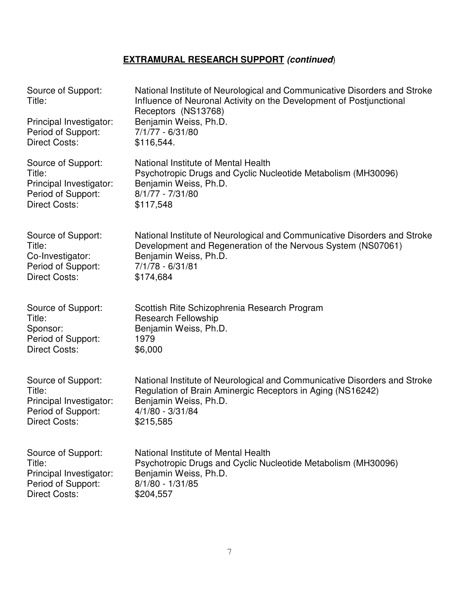| Source of Support:<br>Title:<br>Principal Investigator:<br>Period of Support:<br><b>Direct Costs:</b> | National Institute of Neurological and Communicative Disorders and Stroke<br>Influence of Neuronal Activity on the Development of Postjunctional<br>Receptors (NS13768)<br>Benjamin Weiss, Ph.D.<br>7/1/77 - 6/31/80<br>\$116,544. |
|-------------------------------------------------------------------------------------------------------|------------------------------------------------------------------------------------------------------------------------------------------------------------------------------------------------------------------------------------|
| Source of Support:                                                                                    | National Institute of Mental Health                                                                                                                                                                                                |
| Title:                                                                                                | Psychotropic Drugs and Cyclic Nucleotide Metabolism (MH30096)                                                                                                                                                                      |
| Principal Investigator:                                                                               | Benjamin Weiss, Ph.D.                                                                                                                                                                                                              |
| Period of Support:                                                                                    | $8/1/77 - 7/31/80$                                                                                                                                                                                                                 |
| <b>Direct Costs:</b>                                                                                  | \$117,548                                                                                                                                                                                                                          |
| Source of Support:                                                                                    | National Institute of Neurological and Communicative Disorders and Stroke                                                                                                                                                          |
| Title:                                                                                                | Development and Regeneration of the Nervous System (NS07061)                                                                                                                                                                       |
| Co-Investigator:                                                                                      | Benjamin Weiss, Ph.D.                                                                                                                                                                                                              |
| Period of Support:                                                                                    | 7/1/78 - 6/31/81                                                                                                                                                                                                                   |
| <b>Direct Costs:</b>                                                                                  | \$174,684                                                                                                                                                                                                                          |
| Source of Support:                                                                                    | Scottish Rite Schizophrenia Research Program                                                                                                                                                                                       |
| Title:                                                                                                | <b>Research Fellowship</b>                                                                                                                                                                                                         |
| Sponsor:                                                                                              | Benjamin Weiss, Ph.D.                                                                                                                                                                                                              |
| Period of Support:                                                                                    | 1979                                                                                                                                                                                                                               |
| <b>Direct Costs:</b>                                                                                  | \$6,000                                                                                                                                                                                                                            |
| Source of Support:                                                                                    | National Institute of Neurological and Communicative Disorders and Stroke                                                                                                                                                          |
| Title:                                                                                                | Regulation of Brain Aminergic Receptors in Aging (NS16242)                                                                                                                                                                         |
| Principal Investigator:                                                                               | Benjamin Weiss, Ph.D.                                                                                                                                                                                                              |
| Period of Support:                                                                                    | $4/1/80 - 3/31/84$                                                                                                                                                                                                                 |
| <b>Direct Costs:</b>                                                                                  | \$215,585                                                                                                                                                                                                                          |
| Source of Support:                                                                                    | National Institute of Mental Health                                                                                                                                                                                                |
| Title:                                                                                                | Psychotropic Drugs and Cyclic Nucleotide Metabolism (MH30096)                                                                                                                                                                      |
| Principal Investigator:                                                                               | Benjamin Weiss, Ph.D.                                                                                                                                                                                                              |
| Period of Support:                                                                                    | $8/1/80 - 1/31/85$                                                                                                                                                                                                                 |
| <b>Direct Costs:</b>                                                                                  | \$204,557                                                                                                                                                                                                                          |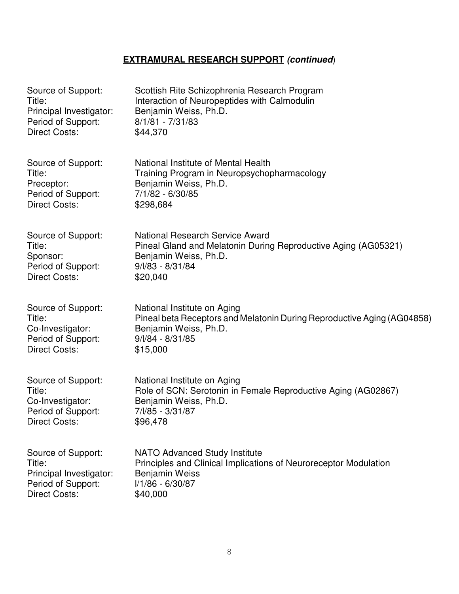| Source of Support:      | Scottish Rite Schizophrenia Research Program                            |
|-------------------------|-------------------------------------------------------------------------|
| Title:                  | Interaction of Neuropeptides with Calmodulin                            |
| Principal Investigator: | Benjamin Weiss, Ph.D.                                                   |
| Period of Support:      | $8/1/81 - 7/31/83$                                                      |
| <b>Direct Costs:</b>    | \$44,370                                                                |
| Source of Support:      | National Institute of Mental Health                                     |
| Title:                  | Training Program in Neuropsychopharmacology                             |
| Preceptor:              | Benjamin Weiss, Ph.D.                                                   |
| Period of Support:      | 7/1/82 - 6/30/85                                                        |
| <b>Direct Costs:</b>    | \$298,684                                                               |
| Source of Support:      | <b>National Research Service Award</b>                                  |
| Title:                  | Pineal Gland and Melatonin During Reproductive Aging (AG05321)          |
| Sponsor:                | Benjamin Weiss, Ph.D.                                                   |
| Period of Support:      | 9/l/83 - 8/31/84                                                        |
| <b>Direct Costs:</b>    | \$20,040                                                                |
| Source of Support:      | National Institute on Aging                                             |
| Title:                  | Pineal beta Receptors and Melatonin During Reproductive Aging (AG04858) |
| Co-Investigator:        | Benjamin Weiss, Ph.D.                                                   |
| Period of Support:      | $9/1/84 - 8/31/85$                                                      |
| <b>Direct Costs:</b>    | \$15,000                                                                |
| Source of Support:      | National Institute on Aging                                             |
| Title:                  | Role of SCN: Serotonin in Female Reproductive Aging (AG02867)           |
| Co-Investigator:        | Benjamin Weiss, Ph.D.                                                   |
| Period of Support:      | 7/l/85 - 3/31/87                                                        |
| <b>Direct Costs:</b>    | \$96,478                                                                |
| Source of Support:      | <b>NATO Advanced Study Institute</b>                                    |
| Title:                  | Principles and Clinical Implications of Neuroreceptor Modulation        |
| Principal Investigator: | Benjamin Weiss                                                          |
| Period of Support:      | I/1/86 - 6/30/87                                                        |
| <b>Direct Costs:</b>    | \$40,000                                                                |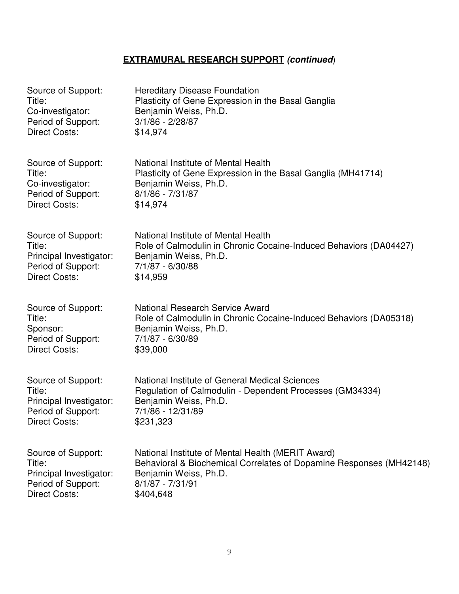| Source of Support:      | <b>Hereditary Disease Foundation</b>                                |
|-------------------------|---------------------------------------------------------------------|
| Title:                  | Plasticity of Gene Expression in the Basal Ganglia                  |
| Co-investigator:        | Benjamin Weiss, Ph.D.                                               |
| Period of Support:      | $3/1/86 - 2/28/87$                                                  |
| <b>Direct Costs:</b>    | \$14,974                                                            |
| Source of Support:      | National Institute of Mental Health                                 |
| Title:                  | Plasticity of Gene Expression in the Basal Ganglia (MH41714)        |
| Co-investigator:        | Benjamin Weiss, Ph.D.                                               |
| Period of Support:      | $8/1/86 - 7/31/87$                                                  |
| <b>Direct Costs:</b>    | \$14,974                                                            |
| Source of Support:      | National Institute of Mental Health                                 |
| Title:                  | Role of Calmodulin in Chronic Cocaine-Induced Behaviors (DA04427)   |
| Principal Investigator: | Benjamin Weiss, Ph.D.                                               |
| Period of Support:      | 7/1/87 - 6/30/88                                                    |
| <b>Direct Costs:</b>    | \$14,959                                                            |
| Source of Support:      | <b>National Research Service Award</b>                              |
| Title:                  | Role of Calmodulin in Chronic Cocaine-Induced Behaviors (DA05318)   |
| Sponsor:                | Benjamin Weiss, Ph.D.                                               |
| Period of Support:      | 7/1/87 - 6/30/89                                                    |
| <b>Direct Costs:</b>    | \$39,000                                                            |
| Source of Support:      | National Institute of General Medical Sciences                      |
| Title:                  | Regulation of Calmodulin - Dependent Processes (GM34334)            |
| Principal Investigator: | Benjamin Weiss, Ph.D.                                               |
| Period of Support:      | 7/1/86 - 12/31/89                                                   |
| <b>Direct Costs:</b>    | \$231,323                                                           |
| Source of Support:      | National Institute of Mental Health (MERIT Award)                   |
| Title:                  | Behavioral & Biochemical Correlates of Dopamine Responses (MH42148) |
| Principal Investigator: | Benjamin Weiss, Ph.D.                                               |
| Period of Support:      | $8/1/87 - 7/31/91$                                                  |
| <b>Direct Costs:</b>    | \$404,648                                                           |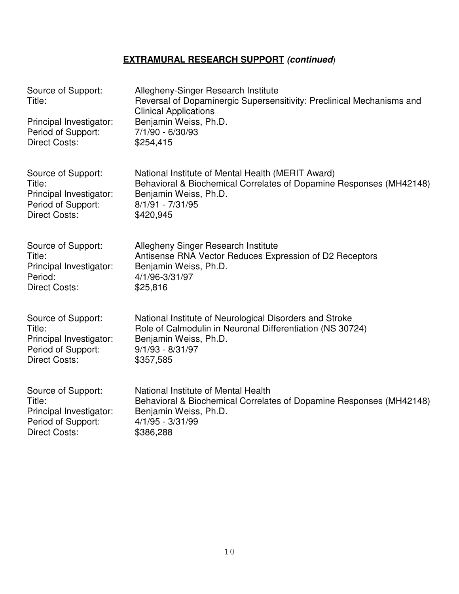| Source of Support:<br>Title:<br>Principal Investigator:<br>Period of Support:<br><b>Direct Costs:</b> | Allegheny-Singer Research Institute<br>Reversal of Dopaminergic Supersensitivity: Preclinical Mechanisms and<br><b>Clinical Applications</b><br>Benjamin Weiss, Ph.D.<br>7/1/90 - 6/30/93<br>\$254,415 |
|-------------------------------------------------------------------------------------------------------|--------------------------------------------------------------------------------------------------------------------------------------------------------------------------------------------------------|
| Source of Support:                                                                                    | National Institute of Mental Health (MERIT Award)                                                                                                                                                      |
| Title:                                                                                                | Behavioral & Biochemical Correlates of Dopamine Responses (MH42148)                                                                                                                                    |
| Principal Investigator:                                                                               | Benjamin Weiss, Ph.D.                                                                                                                                                                                  |
| Period of Support:                                                                                    | $8/1/91 - 7/31/95$                                                                                                                                                                                     |
| <b>Direct Costs:</b>                                                                                  | \$420,945                                                                                                                                                                                              |
| Source of Support:                                                                                    | Allegheny Singer Research Institute                                                                                                                                                                    |
| Title:                                                                                                | Antisense RNA Vector Reduces Expression of D2 Receptors                                                                                                                                                |
| Principal Investigator:                                                                               | Benjamin Weiss, Ph.D.                                                                                                                                                                                  |
| Period:                                                                                               | 4/1/96-3/31/97                                                                                                                                                                                         |
| <b>Direct Costs:</b>                                                                                  | \$25,816                                                                                                                                                                                               |
| Source of Support:                                                                                    | National Institute of Neurological Disorders and Stroke                                                                                                                                                |
| Title:                                                                                                | Role of Calmodulin in Neuronal Differentiation (NS 30724)                                                                                                                                              |
| Principal Investigator:                                                                               | Benjamin Weiss, Ph.D.                                                                                                                                                                                  |
| Period of Support:                                                                                    | $9/1/93 - 8/31/97$                                                                                                                                                                                     |
| <b>Direct Costs:</b>                                                                                  | \$357,585                                                                                                                                                                                              |
| Source of Support:                                                                                    | National Institute of Mental Health                                                                                                                                                                    |
| Title:                                                                                                | Behavioral & Biochemical Correlates of Dopamine Responses (MH42148)                                                                                                                                    |
| Principal Investigator:                                                                               | Benjamin Weiss, Ph.D.                                                                                                                                                                                  |
| Period of Support:                                                                                    | $4/1/95 - 3/31/99$                                                                                                                                                                                     |
| <b>Direct Costs:</b>                                                                                  | \$386,288                                                                                                                                                                                              |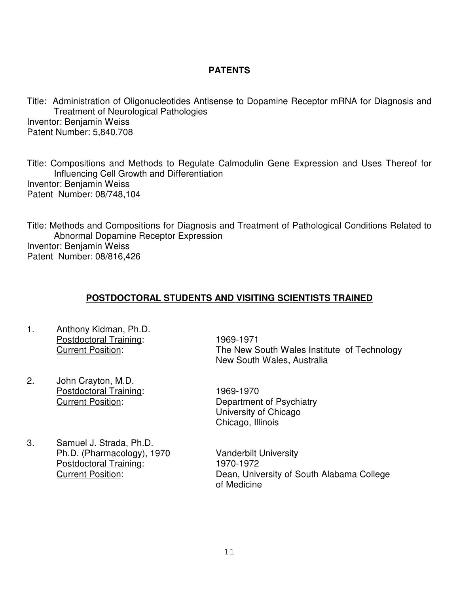### **PATENTS**

Title: Administration of Oligonucleotides Antisense to Dopamine Receptor mRNA for Diagnosis and Treatment of Neurological Pathologies Inventor: Benjamin Weiss Patent Number: 5,840,708

Title: Compositions and Methods to Regulate Calmodulin Gene Expression and Uses Thereof for Influencing Cell Growth and Differentiation Inventor: Benjamin Weiss Patent Number: 08/748,104

Title: Methods and Compositions for Diagnosis and Treatment of Pathological Conditions Related to Abnormal Dopamine Receptor Expression Inventor: Benjamin Weiss Patent Number: 08/816,426

## **POSTDOCTORAL STUDENTS AND VISITING SCIENTISTS TRAINED**

- 1. Anthony Kidman, Ph.D. Postdoctoral Training: 1969-1971
- 2. John Crayton, M.D. Postdoctoral Training: 1969-1970
- 3. Samuel J. Strada, Ph.D. Ph.D. (Pharmacology), 1970 Vanderbilt University Postdoctoral Training: 1970-1972

 Current Position: The New South Wales Institute of Technology New South Wales, Australia

 Current Position: Department of Psychiatry University of Chicago Chicago, Illinois

 Current Position: Dean, University of South Alabama College of Medicine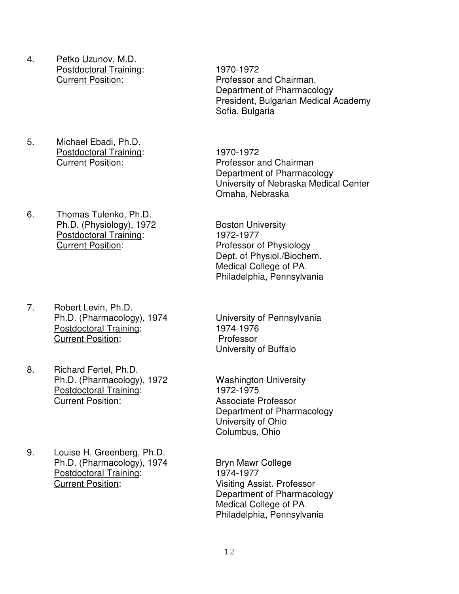- 4. Petko Uzunov, M.D. Postdoctoral Training: 1970-1972
- 5. Michael Ebadi, Ph.D. Postdoctoral Training: 1970-1972
- 6. Thomas Tulenko, Ph.D. Ph.D. (Physiology), 1972 Boston University Postdoctoral Training: 1972-1977<br>
Current Position: Professor c
- 7. Robert Levin, Ph.D. Ph.D. (Pharmacology), 1974 University of Pennsylvania Postdoctoral Training: 1974-1976 **Current Position:** Professor
- 8. Richard Fertel, Ph.D. Ph.D. (Pharmacology), 1972 Washington University Postdoctoral Training: 1972-1975 Current Position: Associate Professor
- 9. Louise H. Greenberg, Ph.D. Ph.D. (Pharmacology), 1974 Bryn Mawr College Postdoctoral Training:<br>
Current Position: 
Current Position:

Turrent Position:

Turrent Position:

Turrent Position:

Turrent Position:

Turrent Position:

Turrent Position:

Turrent Position:

Turrent Position:

Turrent

Current Position: Professor and Chairman, Department of Pharmacology President, Bulgarian Medical Academy Sofia, Bulgaria

 Current Position: Professor and Chairman Department of Pharmacology University of Nebraska Medical Center Omaha, Nebraska

> Professor of Physiology Dept. of Physiol./Biochem. Medical College of PA. Philadelphia, Pennsylvania

University of Buffalo

Department of Pharmacology University of Ohio Columbus, Ohio

Visiting Assist. Professor Department of Pharmacology Medical College of PA. Philadelphia, Pennsylvania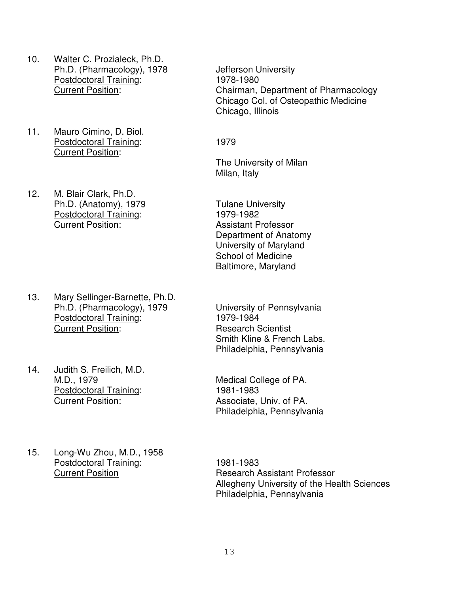- 10. Walter C. Prozialeck, Ph.D. Ph.D. (Pharmacology), 1978 Jefferson University Postdoctoral Training: 1978-1980
- 11. Mauro Cimino, D. Biol. Postdoctoral Training: 1979 Current Position:
- 12. M. Blair Clark, Ph.D. Ph.D. (Anatomy), 1979 Tulane University Postdoctoral Training: 1979-1982 Current Position: Assistant Professor

- 13. Mary Sellinger-Barnette, Ph.D. Ph.D. (Pharmacology), 1979 University of Pennsylvania Postdoctoral Training:<br>Current Position:
- 14. Judith S. Freilich, M.D. M.D., 1979 Medical College of PA. Postdoctoral Training: 1981-1983 Current Position: **Associate, Univ. of PA.**
- 15. Long-Wu Zhou, M.D., 1958 Postdoctoral Training: 1981-1983

 Current Position: Chairman, Department of Pharmacology Chicago Col. of Osteopathic Medicine Chicago, Illinois

The University of Milan Milan, Italy

Department of Anatomy University of Maryland School of Medicine Baltimore, Maryland

**Research Scientist** Smith Kline & French Labs. Philadelphia, Pennsylvania

Philadelphia, Pennsylvania

 Current Position Research Assistant Professor Allegheny University of the Health Sciences Philadelphia, Pennsylvania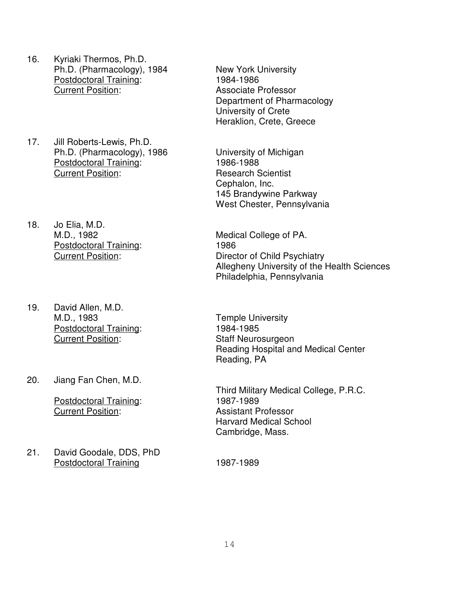- 16. Kyriaki Thermos, Ph.D. Ph.D. (Pharmacology), 1984 New York University Postdoctoral Training: 1984-1986 **Current Position:** Associate Professor
- 17. Jill Roberts-Lewis, Ph.D. Ph.D. (Pharmacology), 1986 University of Michigan Postdoctoral Training: 1986-1988 **Current Position:** Research Scientist
- 18. Jo Elia, M.D. Postdoctoral Training: 1986
- 19. David Allen, M.D. M.D., 1983 Temple University Postdoctoral Training: 1984-1985 Current Position: Staff Neurosurgeon
- 20. Jiang Fan Chen, M.D.

Postdoctoral Training: 1987-1989 Current Position: Assistant Professor

21. David Goodale, DDS, PhD Postdoctoral Training 1987-1989

Department of Pharmacology University of Crete Heraklion, Crete, Greece

Cephalon, Inc. 145 Brandywine Parkway West Chester, Pennsylvania

M.D., 1982 Medical College of PA. Current Position: Director of Child Psychiatry Allegheny University of the Health Sciences Philadelphia, Pennsylvania

> Reading Hospital and Medical Center Reading, PA

> Third Military Medical College, P.R.C. Harvard Medical School Cambridge, Mass.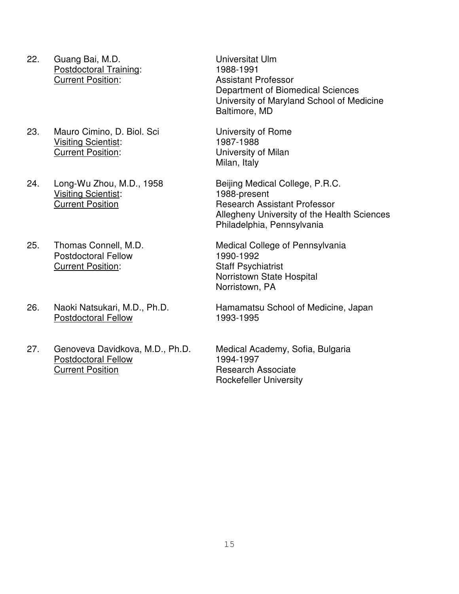- 22. Guang Bai, M.D. Universitat Ulm Postdoctoral Training: 1988-1991 Current Position: Assistant Professor
- 23. Mauro Cimino, D. Biol. Sci University of Rome Visiting Scientist: 1987-1988 Current Position: University of Milan
- 24. Long-Wu Zhou, M.D., 1958 Beijing Medical College, P.R.C. Visiting Scientist: 1988-present
- Postdoctoral Fellow 1990-1992 Current Position: Staff Psychiatrist
- Postdoctoral Fellow 1993-1995
- 27. Genoveva Davidkova, M.D., Ph.D. Medical Academy, Sofia, Bulgaria Postdoctoral Fellow 1994-1997 **Current Position Research Associate**

Department of Biomedical Sciences University of Maryland School of Medicine Baltimore, MD

Milan, Italy

**Current Position** Research Assistant Professor Allegheny University of the Health Sciences Philadelphia, Pennsylvania

25. Thomas Connell, M.D. Medical College of Pennsylvania Norristown State Hospital Norristown, PA

26. Naoki Natsukari, M.D., Ph.D. Hamamatsu School of Medicine, Japan

Rockefeller University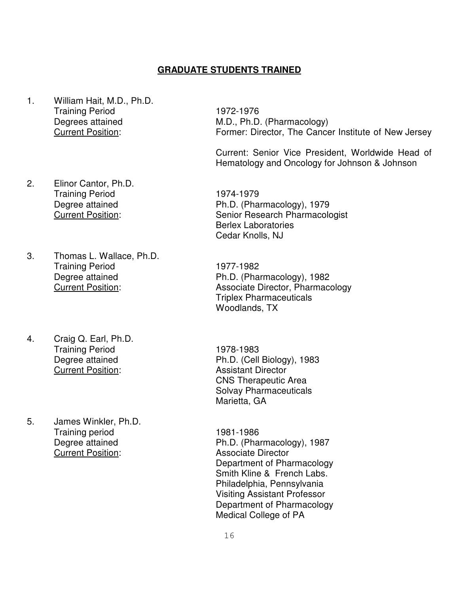#### **GRADUATE STUDENTS TRAINED**

- 1. William Hait, M.D., Ph.D. Training Period 1972-1976
- 2. Elinor Cantor, Ph.D. Training Period 1974-1979
- 3. Thomas L. Wallace, Ph.D. Training Period 1977-1982
- 4. Craig Q. Earl, Ph.D. Training Period 1978-1983 **Current Position:** Assistant Director
- 5. James Winkler, Ph.D. Training period 1981-1986 **Current Position:** Associate Director

Degrees attained M.D., Ph.D. (Pharmacology) Current Position: Former: Director, The Cancer Institute of New Jersey

> Current: Senior Vice President, Worldwide Head of Hematology and Oncology for Johnson & Johnson

Degree attained Ph.D. (Pharmacology), 1979 Current Position: Senior Research Pharmacologist Berlex Laboratories Cedar Knolls, NJ

Degree attained **Ph.D.** (Pharmacology), 1982 Current Position: Associate Director, Pharmacology Triplex Pharmaceuticals Woodlands, TX

Degree attained Ph.D. (Cell Biology), 1983 CNS Therapeutic Area Solvay Pharmaceuticals Marietta, GA

Degree attained Ph.D. (Pharmacology), 1987 Department of Pharmacology Smith Kline & French Labs. Philadelphia, Pennsylvania Visiting Assistant Professor Department of Pharmacology Medical College of PA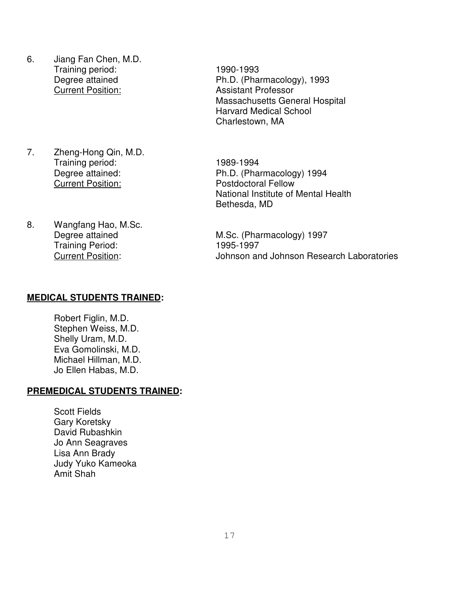- 6. Jiang Fan Chen, M.D. Training period: 1990-1993 **Current Position:** Assistant Professor
- 7. Zheng-Hong Qin, M.D. Training period: 1989-1994 **Current Position:** Postdoctoral Fellow
- 8. Wangfang Hao, M.Sc. Training Period: 1995-1997

# Degree attained Ph.D. (Pharmacology), 1993 Massachusetts General Hospital Harvard Medical School Charlestown, MA

Degree attained: Ph.D. (Pharmacology) 1994 National Institute of Mental Health Bethesda, MD

Degree attained M.Sc. (Pharmacology) 1997 Current Position: Johnson and Johnson Research Laboratories

#### **MEDICAL STUDENTS TRAINED:**

Robert Figlin, M.D. Stephen Weiss, M.D. Shelly Uram, M.D. Eva Gomolinski, M.D. Michael Hillman, M.D. Jo Ellen Habas, M.D.

## **PREMEDICAL STUDENTS TRAINED:**

Scott Fields Gary Koretsky David Rubashkin Jo Ann Seagraves Lisa Ann Brady Judy Yuko Kameoka Amit Shah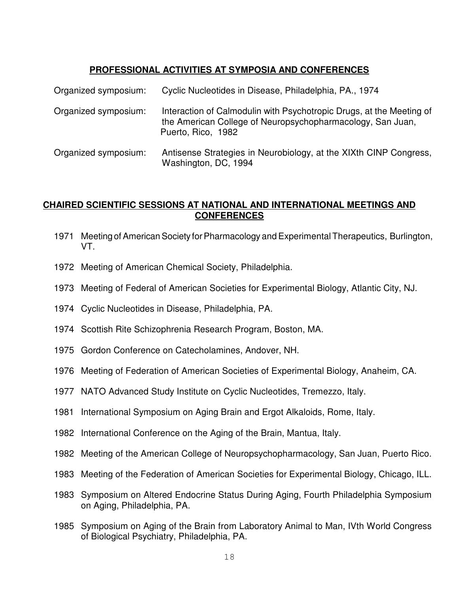## **PROFESSIONAL ACTIVITIES AT SYMPOSIA AND CONFERENCES**

| Organized symposium: | Cyclic Nucleotides in Disease, Philadelphia, PA., 1974                                                                                                   |
|----------------------|----------------------------------------------------------------------------------------------------------------------------------------------------------|
| Organized symposium: | Interaction of Calmodulin with Psychotropic Drugs, at the Meeting of<br>the American College of Neuropsychopharmacology, San Juan,<br>Puerto, Rico, 1982 |
| Organized symposium: | Antisense Strategies in Neurobiology, at the XIXth CINP Congress,<br>Washington, DC, 1994                                                                |

#### **CHAIRED SCIENTIFIC SESSIONS AT NATIONAL AND INTERNATIONAL MEETINGS AND CONFERENCES**

- 1971 Meeting of American Society for Pharmacology and Experimental Therapeutics, Burlington, VT.
- 1972 Meeting of American Chemical Society, Philadelphia.
- 1973 Meeting of Federal of American Societies for Experimental Biology, Atlantic City, NJ.
- 1974 Cyclic Nucleotides in Disease, Philadelphia, PA.
- 1974 Scottish Rite Schizophrenia Research Program, Boston, MA.
- 1975 Gordon Conference on Catecholamines, Andover, NH.
- 1976 Meeting of Federation of American Societies of Experimental Biology, Anaheim, CA.
- 1977 NATO Advanced Study Institute on Cyclic Nucleotides, Tremezzo, Italy.
- 1981 International Symposium on Aging Brain and Ergot Alkaloids, Rome, Italy.
- 1982 International Conference on the Aging of the Brain, Mantua, Italy.
- 1982 Meeting of the American College of Neuropsychopharmacology, San Juan, Puerto Rico.
- 1983 Meeting of the Federation of American Societies for Experimental Biology, Chicago, ILL.
- 1983 Symposium on Altered Endocrine Status During Aging, Fourth Philadelphia Symposium on Aging, Philadelphia, PA.
- 1985 Symposium on Aging of the Brain from Laboratory Animal to Man, IVth World Congress of Biological Psychiatry, Philadelphia, PA.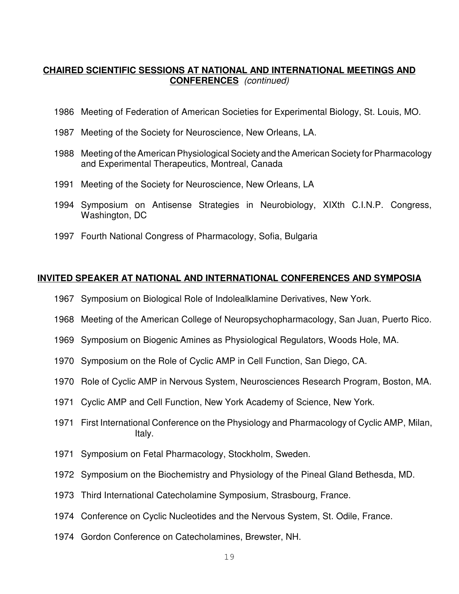#### **CHAIRED SCIENTIFIC SESSIONS AT NATIONAL AND INTERNATIONAL MEETINGS AND CONFERENCES** (continued)

- 1986 Meeting of Federation of American Societies for Experimental Biology, St. Louis, MO.
- 1987 Meeting of the Society for Neuroscience, New Orleans, LA.
- 1988 Meeting of the American Physiological Society and the American Society for Pharmacology and Experimental Therapeutics, Montreal, Canada
- 1991 Meeting of the Society for Neuroscience, New Orleans, LA
- 1994 Symposium on Antisense Strategies in Neurobiology, XIXth C.I.N.P. Congress, Washington, DC
- 1997 Fourth National Congress of Pharmacology, Sofia, Bulgaria

#### **INVITED SPEAKER AT NATIONAL AND INTERNATIONAL CONFERENCES AND SYMPOSIA**

- 1967 Symposium on Biological Role of Indolealklamine Derivatives, New York.
- 1968 Meeting of the American College of Neuropsychopharmacology, San Juan, Puerto Rico.
- 1969 Symposium on Biogenic Amines as Physiological Regulators, Woods Hole, MA.
- 1970 Symposium on the Role of Cyclic AMP in Cell Function, San Diego, CA.
- 1970 Role of Cyclic AMP in Nervous System, Neurosciences Research Program, Boston, MA.
- 1971 Cyclic AMP and Cell Function, New York Academy of Science, New York.
- 1971 First International Conference on the Physiology and Pharmacology of Cyclic AMP, Milan, Italy.
- 1971 Symposium on Fetal Pharmacology, Stockholm, Sweden.
- 1972 Symposium on the Biochemistry and Physiology of the Pineal Gland Bethesda, MD.
- 1973 Third International Catecholamine Symposium, Strasbourg, France.
- 1974 Conference on Cyclic Nucleotides and the Nervous System, St. Odile, France.
- 1974 Gordon Conference on Catecholamines, Brewster, NH.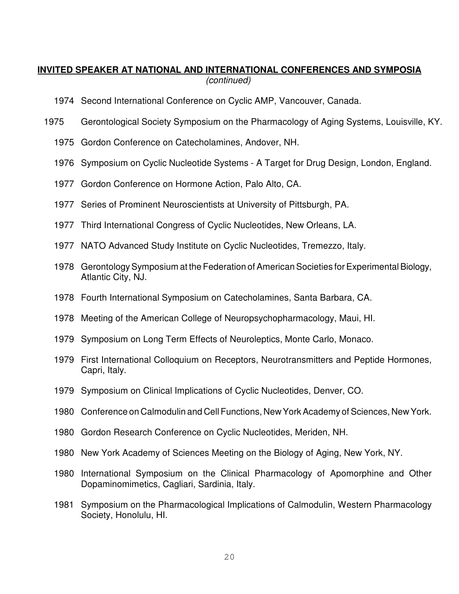## **INVITED SPEAKER AT NATIONAL AND INTERNATIONAL CONFERENCES AND SYMPOSIA** (continued)

- 1974 Second International Conference on Cyclic AMP, Vancouver, Canada.
- 1975 Gerontological Society Symposium on the Pharmacology of Aging Systems, Louisville, KY.
	- 1975 Gordon Conference on Catecholamines, Andover, NH.
	- 1976 Symposium on Cyclic Nucleotide Systems A Target for Drug Design, London, England.
	- 1977 Gordon Conference on Hormone Action, Palo Alto, CA.
	- 1977 Series of Prominent Neuroscientists at University of Pittsburgh, PA.
	- 1977 Third International Congress of Cyclic Nucleotides, New Orleans, LA.
	- 1977 NATO Advanced Study Institute on Cyclic Nucleotides, Tremezzo, Italy.
	- 1978 Gerontology Symposium at the Federation of American Societies for Experimental Biology, Atlantic City, NJ.
	- 1978 Fourth International Symposium on Catecholamines, Santa Barbara, CA.
	- 1978 Meeting of the American College of Neuropsychopharmacology, Maui, HI.
	- 1979 Symposium on Long Term Effects of Neuroleptics, Monte Carlo, Monaco.
	- 1979 First International Colloquium on Receptors, Neurotransmitters and Peptide Hormones, Capri, Italy.
	- 1979 Symposium on Clinical Implications of Cyclic Nucleotides, Denver, CO.
	- 1980 Conference on Calmodulin and Cell Functions, New York Academy of Sciences, New York.
	- 1980 Gordon Research Conference on Cyclic Nucleotides, Meriden, NH.
	- 1980 New York Academy of Sciences Meeting on the Biology of Aging, New York, NY.
	- 1980 International Symposium on the Clinical Pharmacology of Apomorphine and Other Dopaminomimetics, Cagliari, Sardinia, Italy.
	- 1981 Symposium on the Pharmacological Implications of Calmodulin, Western Pharmacology Society, Honolulu, HI.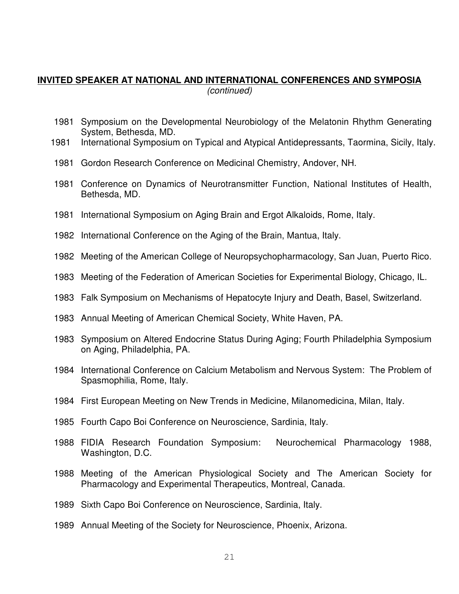## **INVITED SPEAKER AT NATIONAL AND INTERNATIONAL CONFERENCES AND SYMPOSIA** (continued)

- 1981 Symposium on the Developmental Neurobiology of the Melatonin Rhythm Generating System, Bethesda, MD.
- 1981 International Symposium on Typical and Atypical Antidepressants, Taormina, Sicily, Italy.
- 1981 Gordon Research Conference on Medicinal Chemistry, Andover, NH.
- 1981 Conference on Dynamics of Neurotransmitter Function, National Institutes of Health, Bethesda, MD.
- 1981 International Symposium on Aging Brain and Ergot Alkaloids, Rome, Italy.
- 1982 International Conference on the Aging of the Brain, Mantua, Italy.
- 1982 Meeting of the American College of Neuropsychopharmacology, San Juan, Puerto Rico.
- 1983 Meeting of the Federation of American Societies for Experimental Biology, Chicago, IL.
- 1983 Falk Symposium on Mechanisms of Hepatocyte Injury and Death, Basel, Switzerland.
- 1983 Annual Meeting of American Chemical Society, White Haven, PA.
- 1983 Symposium on Altered Endocrine Status During Aging; Fourth Philadelphia Symposium on Aging, Philadelphia, PA.
- 1984 International Conference on Calcium Metabolism and Nervous System: The Problem of Spasmophilia, Rome, Italy.
- 1984 First European Meeting on New Trends in Medicine, Milanomedicina, Milan, Italy.
- 1985 Fourth Capo Boi Conference on Neuroscience, Sardinia, Italy.
- 1988 FIDIA Research Foundation Symposium: Neurochemical Pharmacology 1988, Washington, D.C.
- 1988 Meeting of the American Physiological Society and The American Society for Pharmacology and Experimental Therapeutics, Montreal, Canada.
- 1989 Sixth Capo Boi Conference on Neuroscience, Sardinia, Italy.
- 1989 Annual Meeting of the Society for Neuroscience, Phoenix, Arizona.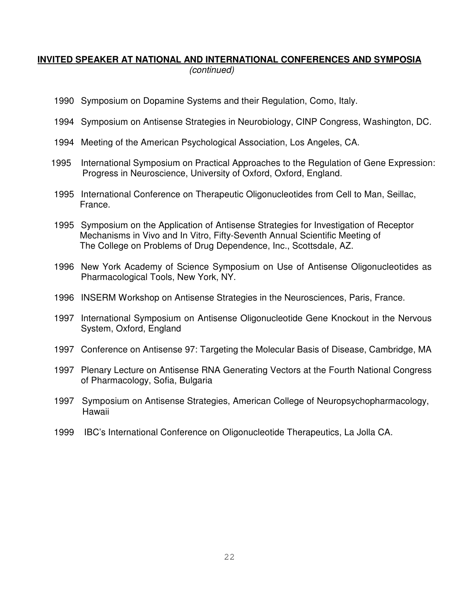## **INVITED SPEAKER AT NATIONAL AND INTERNATIONAL CONFERENCES AND SYMPOSIA** (continued)

- 1990 Symposium on Dopamine Systems and their Regulation, Como, Italy.
- 1994 Symposium on Antisense Strategies in Neurobiology, CINP Congress, Washington, DC.
- 1994 Meeting of the American Psychological Association, Los Angeles, CA.
- 1995 International Symposium on Practical Approaches to the Regulation of Gene Expression: Progress in Neuroscience, University of Oxford, Oxford, England.
- 1995 International Conference on Therapeutic Oligonucleotides from Cell to Man, Seillac, France.
- 1995 Symposium on the Application of Antisense Strategies for Investigation of Receptor Mechanisms in Vivo and In Vitro, Fifty-Seventh Annual Scientific Meeting of The College on Problems of Drug Dependence, Inc., Scottsdale, AZ.
- 1996 New York Academy of Science Symposium on Use of Antisense Oligonucleotides as Pharmacological Tools, New York, NY.
- 1996 INSERM Workshop on Antisense Strategies in the Neurosciences, Paris, France.
- 1997 International Symposium on Antisense Oligonucleotide Gene Knockout in the Nervous System, Oxford, England
- 1997 Conference on Antisense 97: Targeting the Molecular Basis of Disease, Cambridge, MA
- 1997 Plenary Lecture on Antisense RNA Generating Vectors at the Fourth National Congress of Pharmacology, Sofia, Bulgaria
- 1997 Symposium on Antisense Strategies, American College of Neuropsychopharmacology, Hawaii
- 1999 IBC's International Conference on Oligonucleotide Therapeutics, La Jolla CA.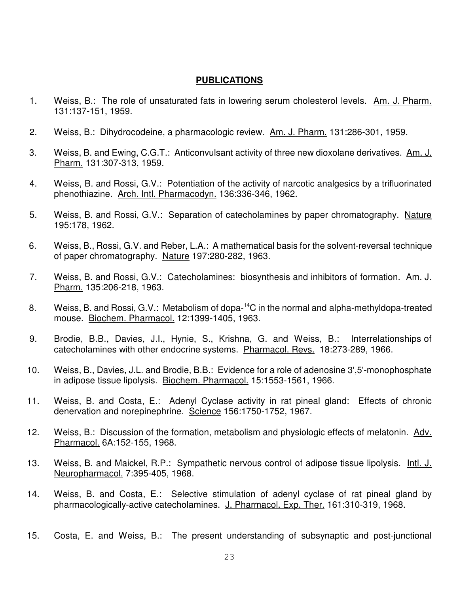#### **PUBLICATIONS**

- 1. Weiss, B.: The role of unsaturated fats in lowering serum cholesterol levels. Am. J. Pharm. 131:137-151, 1959.
- 2. Weiss, B.: Dihydrocodeine, a pharmacologic review. Am. J. Pharm. 131:286-301, 1959.
- 3. Weiss, B. and Ewing, C.G.T.: Anticonvulsant activity of three new dioxolane derivatives. Am. J. Pharm. 131:307-313, 1959.
- 4. Weiss, B. and Rossi, G.V.: Potentiation of the activity of narcotic analgesics by a trifluorinated phenothiazine. Arch. Intl. Pharmacodyn. 136:336-346, 1962.
- 5. Weiss, B. and Rossi, G.V.: Separation of catecholamines by paper chromatography. Nature 195:178, 1962.
- 6. Weiss, B., Rossi, G.V. and Reber, L.A.: A mathematical basis for the solvent-reversal technique of paper chromatography. Nature 197:280-282, 1963.
- 7. Weiss, B. and Rossi, G.V.: Catecholamines: biosynthesis and inhibitors of formation. Am. J. Pharm. 135:206-218, 1963.
- 8. Weiss, B. and Rossi, G.V.: Metabolism of dopa-<sup>14</sup>C in the normal and alpha-methyldopa-treated mouse. Biochem. Pharmacol. 12:1399-1405, 1963.
- 9. Brodie, B.B., Davies, J.I., Hynie, S., Krishna, G. and Weiss, B.: Interrelationships of catecholamines with other endocrine systems. Pharmacol. Revs. 18:273-289, 1966.
- 10. Weiss, B., Davies, J.L. and Brodie, B.B.: Evidence for a role of adenosine 3',5'-monophosphate in adipose tissue lipolysis. Biochem. Pharmacol. 15:1553-1561, 1966.
- 11. Weiss, B. and Costa, E.: Adenyl Cyclase activity in rat pineal gland: Effects of chronic denervation and norepinephrine. Science 156:1750-1752, 1967.
- 12. Weiss, B.: Discussion of the formation, metabolism and physiologic effects of melatonin. Adv. Pharmacol. 6A:152-155, 1968.
- 13. Weiss, B. and Maickel, R.P.: Sympathetic nervous control of adipose tissue lipolysis. Intl. J. Neuropharmacol. 7:395-405, 1968.
- 14. Weiss, B. and Costa, E.: Selective stimulation of adenyl cyclase of rat pineal gland by pharmacologically-active catecholamines. J. Pharmacol. Exp. Ther. 161:310-319, 1968.
- 15. Costa, E. and Weiss, B.: The present understanding of subsynaptic and post-junctional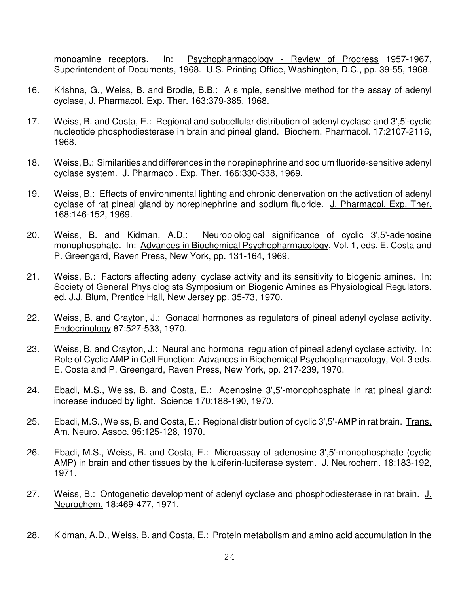monoamine receptors. In: Psychopharmacology - Review of Progress 1957-1967, Superintendent of Documents, 1968. U.S. Printing Office, Washington, D.C., pp. 39-55, 1968.

- 16. Krishna, G., Weiss, B. and Brodie, B.B.: A simple, sensitive method for the assay of adenyl cyclase, J. Pharmacol. Exp. Ther. 163:379-385, 1968.
- 17. Weiss, B. and Costa, E.: Regional and subcellular distribution of adenyl cyclase and 3',5'-cyclic nucleotide phosphodiesterase in brain and pineal gland. Biochem. Pharmacol. 17:2107-2116, 1968.
- 18. Weiss, B.: Similarities and differences in the norepinephrine and sodium fluoride-sensitive adenyl cyclase system. J. Pharmacol. Exp. Ther. 166:330-338, 1969.
- 19. Weiss, B.: Effects of environmental lighting and chronic denervation on the activation of adenyl cyclase of rat pineal gland by norepinephrine and sodium fluoride. J. Pharmacol. Exp. Ther. 168:146-152, 1969.
- 20. Weiss, B. and Kidman, A.D.: Neurobiological significance of cyclic 3',5'-adenosine monophosphate. In: Advances in Biochemical Psychopharmacology, Vol. 1, eds. E. Costa and P. Greengard, Raven Press, New York, pp. 131-164, 1969.
- 21. Weiss, B.: Factors affecting adenyl cyclase activity and its sensitivity to biogenic amines. In: Society of General Physiologists Symposium on Biogenic Amines as Physiological Regulators. ed. J.J. Blum, Prentice Hall, New Jersey pp. 35-73, 1970.
- 22. Weiss, B. and Crayton, J.: Gonadal hormones as regulators of pineal adenyl cyclase activity. Endocrinology 87:527-533, 1970.
- 23. Weiss, B. and Crayton, J.: Neural and hormonal regulation of pineal adenyl cyclase activity. In: Role of Cyclic AMP in Cell Function: Advances in Biochemical Psychopharmacology, Vol. 3 eds. E. Costa and P. Greengard, Raven Press, New York, pp. 217-239, 1970.
- 24. Ebadi, M.S., Weiss, B. and Costa, E.: Adenosine 3',5'-monophosphate in rat pineal gland: increase induced by light. Science 170:188-190, 1970.
- 25. Ebadi, M.S., Weiss, B. and Costa, E.: Regional distribution of cyclic 3',5'-AMP in rat brain. Trans. Am. Neuro. Assoc. 95:125-128, 1970.
- 26. Ebadi, M.S., Weiss, B. and Costa, E.: Microassay of adenosine 3',5'-monophosphate (cyclic AMP) in brain and other tissues by the luciferin-luciferase system. J. Neurochem. 18:183-192, 1971.
- 27. Weiss, B.: Ontogenetic development of adenyl cyclase and phosphodiesterase in rat brain. J. Neurochem. 18:469-477, 1971.
- 28. Kidman, A.D., Weiss, B. and Costa, E.: Protein metabolism and amino acid accumulation in the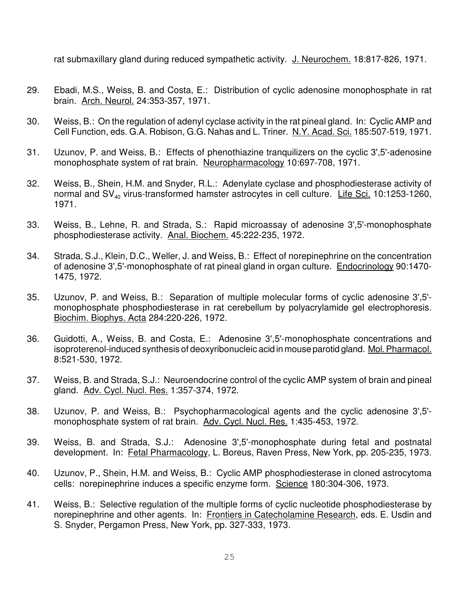rat submaxillary gland during reduced sympathetic activity. J. Neurochem. 18:817-826, 1971.

- 29. Ebadi, M.S., Weiss, B. and Costa, E.: Distribution of cyclic adenosine monophosphate in rat brain. Arch. Neurol. 24:353-357, 1971.
- 30. Weiss, B.: On the regulation of adenyl cyclase activity in the rat pineal gland. In: Cyclic AMP and Cell Function, eds. G.A. Robison, G.G. Nahas and L. Triner. N.Y. Acad. Sci. 185:507-519, 1971.
- 31. Uzunov, P. and Weiss, B.: Effects of phenothiazine tranquilizers on the cyclic 3',5'-adenosine monophosphate system of rat brain. Neuropharmacology 10:697-708, 1971.
- 32. Weiss, B., Shein, H.M. and Snyder, R.L.: Adenylate cyclase and phosphodiesterase activity of normal and  $SV_{40}$  virus-transformed hamster astrocytes in cell culture. Life Sci. 10:1253-1260, 1971.
- 33. Weiss, B., Lehne, R. and Strada, S.: Rapid microassay of adenosine 3',5'-monophosphate phosphodiesterase activity. Anal. Biochem. 45:222-235, 1972.
- 34. Strada, S.J., Klein, D.C., Weller, J. and Weiss, B.: Effect of norepinephrine on the concentration of adenosine 3',5'-monophosphate of rat pineal gland in organ culture. Endocrinology 90:1470- 1475, 1972.
- 35. Uzunov, P. and Weiss, B.: Separation of multiple molecular forms of cyclic adenosine 3',5' monophosphate phosphodiesterase in rat cerebellum by polyacrylamide gel electrophoresis. Biochim. Biophys. Acta 284:220-226, 1972.
- 36. Guidotti, A., Weiss, B. and Costa, E.: Adenosine 3',5'-monophosphate concentrations and isoproterenol-induced synthesis of deoxyribonucleic acid in mouse parotid gland. Mol. Pharmacol. 8:521-530, 1972.
- 37. Weiss, B. and Strada, S.J.: Neuroendocrine control of the cyclic AMP system of brain and pineal gland. Adv. Cycl. Nucl. Res. 1:357-374, 1972.
- 38. Uzunov, P. and Weiss, B.: Psychopharmacological agents and the cyclic adenosine 3',5' monophosphate system of rat brain. Adv. Cycl. Nucl. Res. 1:435-453, 1972.
- 39. Weiss, B. and Strada, S.J.: Adenosine 3',5'-monophosphate during fetal and postnatal development. In: Fetal Pharmacology, L. Boreus, Raven Press, New York, pp. 205-235, 1973.
- 40. Uzunov, P., Shein, H.M. and Weiss, B.: Cyclic AMP phosphodiesterase in cloned astrocytoma cells: norepinephrine induces a specific enzyme form. Science 180:304-306, 1973.
- 41. Weiss, B.: Selective regulation of the multiple forms of cyclic nucleotide phosphodiesterase by norepinephrine and other agents. In: Frontiers in Catecholamine Research, eds. E. Usdin and S. Snyder, Pergamon Press, New York, pp. 327-333, 1973.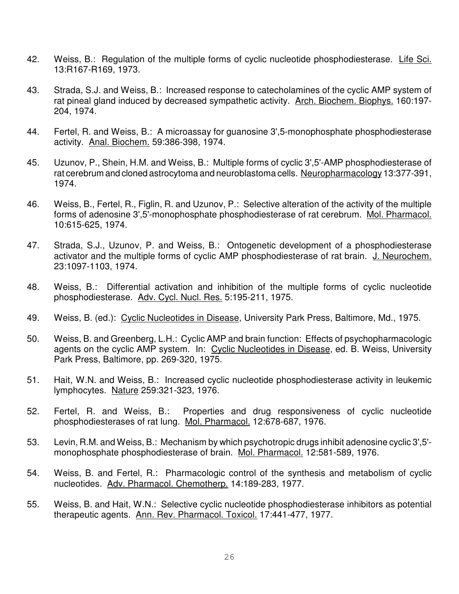- 42. Weiss, B.: Regulation of the multiple forms of cyclic nucleotide phosphodiesterase. Life Sci. 13:R167-R169, 1973.
- 43. Strada, S.J. and Weiss, B.: Increased response to catecholamines of the cyclic AMP system of rat pineal gland induced by decreased sympathetic activity. Arch. Biochem. Biophys. 160:197- 204, 1974.
- 44. Fertel, R. and Weiss, B.: A microassay for guanosine 3',5-monophosphate phosphodiesterase activity. Anal. Biochem. 59:386-398, 1974.
- 45. Uzunov, P., Shein, H.M. and Weiss, B.: Multiple forms of cyclic 3',5'-AMP phosphodiesterase of rat cerebrum and cloned astrocytoma and neuroblastoma cells. Neuropharmacology 13:377-391, 1974.
- 46. Weiss, B., Fertel, R., Figlin, R. and Uzunov, P.: Selective alteration of the activity of the multiple forms of adenosine 3',5'-monophosphate phosphodiesterase of rat cerebrum. Mol. Pharmacol. 10:615-625, 1974.
- 47. Strada, S.J., Uzunov, P. and Weiss, B.: Ontogenetic development of a phosphodiesterase activator and the multiple forms of cyclic AMP phosphodiesterase of rat brain. J. Neurochem. 23:1097-1103, 1974.
- 48. Weiss, B.: Differential activation and inhibition of the multiple forms of cyclic nucleotide phosphodiesterase. Adv. Cycl. Nucl. Res. 5:195-211, 1975.
- 49. Weiss, B. (ed.): Cyclic Nucleotides in Disease, University Park Press, Baltimore, Md., 1975.
- 50. Weiss, B. and Greenberg, L.H.: Cyclic AMP and brain function: Effects of psychopharmacologic agents on the cyclic AMP system. In: Cyclic Nucleotides in Disease, ed. B. Weiss, University Park Press, Baltimore, pp. 269-320, 1975.
- 51. Hait, W.N. and Weiss, B.: Increased cyclic nucleotide phosphodiesterase activity in leukemic lymphocytes. Nature 259:321-323, 1976.
- 52. Fertel, R. and Weiss, B.: Properties and drug responsiveness of cyclic nucleotide phosphodiesterases of rat lung. Mol. Pharmacol. 12:678-687, 1976.
- 53. Levin, R.M. and Weiss, B.: Mechanism by which psychotropic drugs inhibit adenosine cyclic 3',5' monophosphate phosphodiesterase of brain. Mol. Pharmacol. 12:581-589, 1976.
- 54. Weiss, B. and Fertel, R.: Pharmacologic control of the synthesis and metabolism of cyclic nucleotides. Adv. Pharmacol. Chemotherp. 14:189-283, 1977.
- 55. Weiss, B. and Hait, W.N.: Selective cyclic nucleotide phosphodiesterase inhibitors as potential therapeutic agents. Ann. Rev. Pharmacol. Toxicol. 17:441-477, 1977.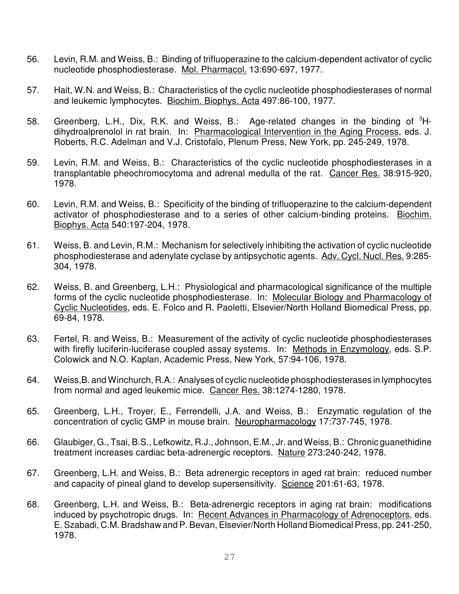- 56. Levin, R.M. and Weiss, B.: Binding of trifluoperazine to the calcium-dependent activator of cyclic nucleotide phosphodiesterase. Mol. Pharmacol. 13:690-697, 1977.
- 57. Hait, W.N. and Weiss, B.: Characteristics of the cyclic nucleotide phosphodiesterases of normal and leukemic lymphocytes. Biochim. Biophys. Acta 497:86-100, 1977.
- 58. Greenberg, L.H., Dix, R.K. and Weiss, B.: Age-related changes in the binding of  ${}^{3}$ Hdihydroalprenolol in rat brain. In: Pharmacological Intervention in the Aging Process, eds. J. Roberts, R.C. Adelman and V.J. Cristofalo, Plenum Press, New York, pp. 245-249, 1978.
- 59. Levin, R.M. and Weiss, B.: Characteristics of the cyclic nucleotide phosphodiesterases in a transplantable pheochromocytoma and adrenal medulla of the rat. Cancer Res. 38:915-920, 1978.
- 60. Levin, R.M. and Weiss, B.: Specificity of the binding of trifluoperazine to the calcium-dependent activator of phosphodiesterase and to a series of other calcium-binding proteins. Biochim. Biophys. Acta 540:197-204, 1978.
- 61. Weiss, B. and Levin, R.M.: Mechanism for selectively inhibiting the activation of cyclic nucleotide phosphodiesterase and adenylate cyclase by antipsychotic agents. Adv. Cycl. Nucl. Res. 9:285- 304, 1978.
- 62. Weiss, B. and Greenberg, L.H.: Physiological and pharmacological significance of the multiple forms of the cyclic nucleotide phosphodiesterase. In: Molecular Biology and Pharmacology of Cyclic Nucleotides, eds. E. Folco and R. Paoletti, Elsevier/North Holland Biomedical Press, pp. 69-84, 1978.
- 63. Fertel, R. and Weiss, B.: Measurement of the activity of cyclic nucleotide phosphodiesterases with firefly luciferin-luciferase coupled assay systems. In: Methods in Enzymology, eds. S.P. Colowick and N.O. Kaplan, Academic Press, New York, 57:94-106, 1978.
- 64. Weiss,B. and Winchurch, R.A.: Analyses of cyclic nucleotide phosphodiesterases in lymphocytes from normal and aged leukemic mice. Cancer Res. 38:1274-1280, 1978.
- 65. Greenberg, L.H., Troyer, E., Ferrendelli, J.A. and Weiss, B.: Enzymatic regulation of the concentration of cyclic GMP in mouse brain. Neuropharmacology 17:737-745, 1978.
- 66. Glaubiger, G., Tsai, B.S., Lefkowitz, R.J., Johnson, E.M., Jr. and Weiss, B.: Chronic guanethidine treatment increases cardiac beta-adrenergic receptors. Nature 273:240-242, 1978.
- 67. Greenberg, L.H. and Weiss, B.: Beta adrenergic receptors in aged rat brain: reduced number and capacity of pineal gland to develop supersensitivity. Science 201:61-63, 1978.
- 68. Greenberg, L.H. and Weiss, B.: Beta-adrenergic receptors in aging rat brain: modifications induced by psychotropic drugs. In: Recent Advances in Pharmacology of Adrenoceptors, eds. E. Szabadi, C.M. Bradshaw and P. Bevan, Elsevier/North Holland Biomedical Press, pp. 241-250, 1978.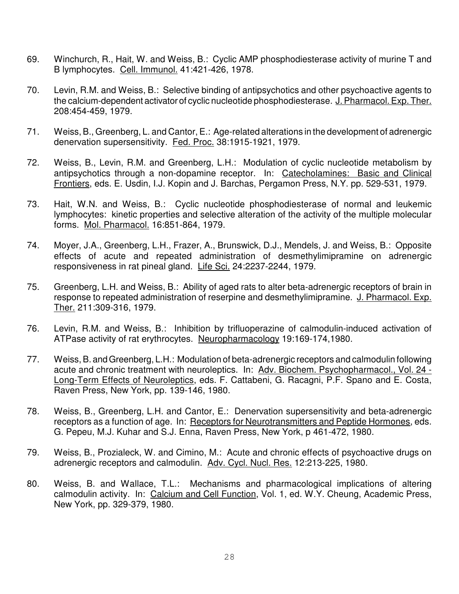- 69. Winchurch, R., Hait, W. and Weiss, B.: Cyclic AMP phosphodiesterase activity of murine T and B lymphocytes. Cell. Immunol. 41:421-426, 1978.
- 70. Levin, R.M. and Weiss, B.: Selective binding of antipsychotics and other psychoactive agents to the calcium-dependent activator of cyclic nucleotide phosphodiesterase. J. Pharmacol. Exp. Ther. 208:454-459, 1979.
- 71. Weiss, B., Greenberg, L. and Cantor, E.: Age-related alterations in the development of adrenergic denervation supersensitivity. Fed. Proc. 38:1915-1921, 1979.
- 72. Weiss, B., Levin, R.M. and Greenberg, L.H.: Modulation of cyclic nucleotide metabolism by antipsychotics through a non-dopamine receptor. In: Catecholamines: Basic and Clinical Frontiers, eds. E. Usdin, I.J. Kopin and J. Barchas, Pergamon Press, N.Y. pp. 529-531, 1979.
- 73. Hait, W.N. and Weiss, B.: Cyclic nucleotide phosphodiesterase of normal and leukemic lymphocytes: kinetic properties and selective alteration of the activity of the multiple molecular forms. Mol. Pharmacol. 16:851-864, 1979.
- 74. Moyer, J.A., Greenberg, L.H., Frazer, A., Brunswick, D.J., Mendels, J. and Weiss, B.: Opposite effects of acute and repeated administration of desmethylimipramine on adrenergic responsiveness in rat pineal gland. Life Sci. 24:2237-2244, 1979.
- 75. Greenberg, L.H. and Weiss, B.: Ability of aged rats to alter beta-adrenergic receptors of brain in response to repeated administration of reserpine and desmethylimipramine. J. Pharmacol. Exp. Ther. 211:309-316, 1979.
- 76. Levin, R.M. and Weiss, B.: Inhibition by trifluoperazine of calmodulin-induced activation of ATPase activity of rat erythrocytes. Neuropharmacology 19:169-174,1980.
- 77. Weiss, B. and Greenberg, L.H.: Modulation of beta-adrenergic receptors and calmodulin following acute and chronic treatment with neuroleptics. In: Adv. Biochem. Psychopharmacol., Vol. 24 - Long-Term Effects of Neuroleptics, eds. F. Cattabeni, G. Racagni, P.F. Spano and E. Costa, Raven Press, New York, pp. 139-146, 1980.
- 78. Weiss, B., Greenberg, L.H. and Cantor, E.: Denervation supersensitivity and beta-adrenergic receptors as a function of age. In: Receptors for Neurotransmitters and Peptide Hormones, eds. G. Pepeu, M.J. Kuhar and S.J. Enna, Raven Press, New York, p 461-472, 1980.
- 79. Weiss, B., Prozialeck, W. and Cimino, M.: Acute and chronic effects of psychoactive drugs on adrenergic receptors and calmodulin. Adv. Cycl. Nucl. Res. 12:213-225, 1980.
- 80. Weiss, B. and Wallace, T.L.: Mechanisms and pharmacological implications of altering calmodulin activity. In: Calcium and Cell Function, Vol. 1, ed. W.Y. Cheung, Academic Press, New York, pp. 329-379, 1980.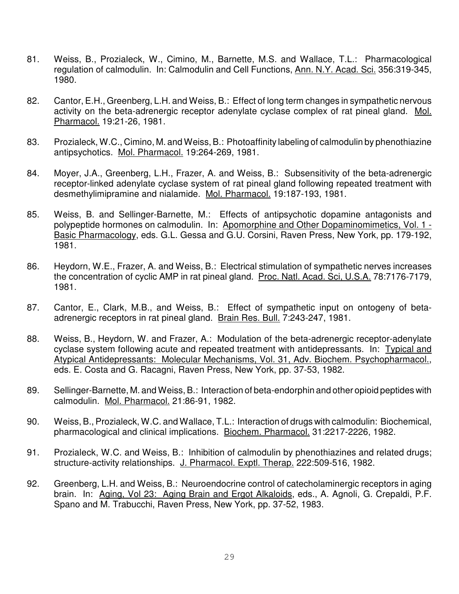- 81. Weiss, B., Prozialeck, W., Cimino, M., Barnette, M.S. and Wallace, T.L.: Pharmacological regulation of calmodulin. In: Calmodulin and Cell Functions, Ann. N.Y. Acad. Sci. 356:319-345, 1980.
- 82. Cantor, E.H., Greenberg, L.H. and Weiss, B.: Effect of long term changes in sympathetic nervous activity on the beta-adrenergic receptor adenylate cyclase complex of rat pineal gland. Mol. Pharmacol. 19:21-26, 1981.
- 83. Prozialeck, W.C., Cimino, M. and Weiss, B.: Photoaffinity labeling of calmodulin by phenothiazine antipsychotics. Mol. Pharmacol. 19:264-269, 1981.
- 84. Moyer, J.A., Greenberg, L.H., Frazer, A. and Weiss, B.: Subsensitivity of the beta-adrenergic receptor-linked adenylate cyclase system of rat pineal gland following repeated treatment with desmethylimipramine and nialamide. Mol. Pharmacol. 19:187-193, 1981.
- 85. Weiss, B. and Sellinger-Barnette, M.: Effects of antipsychotic dopamine antagonists and polypeptide hormones on calmodulin. In: Apomorphine and Other Dopaminomimetics, Vol. 1 - Basic Pharmacology, eds. G.L. Gessa and G.U. Corsini, Raven Press, New York, pp. 179-192, 1981.
- 86. Heydorn, W.E., Frazer, A. and Weiss, B.: Electrical stimulation of sympathetic nerves increases the concentration of cyclic AMP in rat pineal gland. Proc. Natl. Acad. Sci, U.S.A. 78:7176-7179, 1981.
- 87. Cantor, E., Clark, M.B., and Weiss, B.: Effect of sympathetic input on ontogeny of betaadrenergic receptors in rat pineal gland. Brain Res. Bull. 7:243-247, 1981.
- 88. Weiss, B., Heydorn, W. and Frazer, A.: Modulation of the beta-adrenergic receptor-adenylate cyclase system following acute and repeated treatment with antidepressants. In: Typical and Atypical Antidepressants: Molecular Mechanisms, Vol. 31, Adv. Biochem. Psychopharmacol., eds. E. Costa and G. Racagni, Raven Press, New York, pp. 37-53, 1982.
- 89. Sellinger-Barnette, M. and Weiss, B.: Interaction of beta-endorphin and other opioid peptides with calmodulin. Mol. Pharmacol. 21:86-91, 1982.
- 90. Weiss, B., Prozialeck, W.C. and Wallace, T.L.: Interaction of drugs with calmodulin: Biochemical, pharmacological and clinical implications. Biochem. Pharmacol. 31:2217-2226, 1982.
- 91. Prozialeck, W.C. and Weiss, B.: Inhibition of calmodulin by phenothiazines and related drugs; structure-activity relationships. J. Pharmacol. Exptl. Therap. 222:509-516, 1982.
- 92. Greenberg, L.H. and Weiss, B.: Neuroendocrine control of catecholaminergic receptors in aging brain. In: Aging, Vol 23: Aging Brain and Ergot Alkaloids, eds., A. Agnoli, G. Crepaldi, P.F. Spano and M. Trabucchi, Raven Press, New York, pp. 37-52, 1983.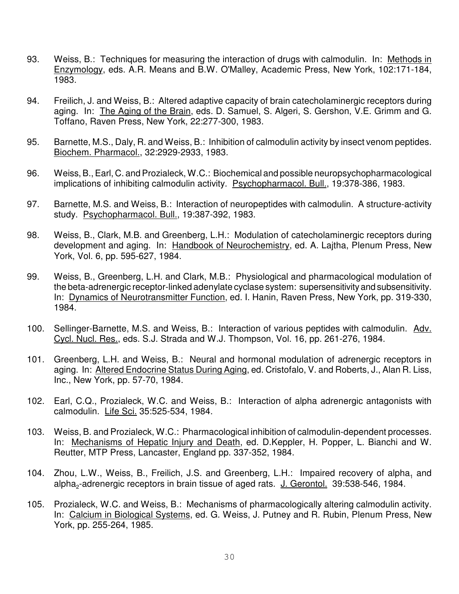- 93. Weiss, B.: Techniques for measuring the interaction of drugs with calmodulin. In: Methods in Enzymology, eds. A.R. Means and B.W. O'Malley, Academic Press, New York, 102:171-184, 1983.
- 94. Freilich, J. and Weiss, B.: Altered adaptive capacity of brain catecholaminergic receptors during aging. In: The Aging of the Brain, eds. D. Samuel, S. Algeri, S. Gershon, V.E. Grimm and G. Toffano, Raven Press, New York, 22:277-300, 1983.
- 95. Barnette, M.S., Daly, R. and Weiss, B.: Inhibition of calmodulin activity by insect venom peptides. Biochem. Pharmacol., 32:2929-2933, 1983.
- 96. Weiss, B., Earl, C. and Prozialeck, W.C.: Biochemical and possible neuropsychopharmacological implications of inhibiting calmodulin activity. Psychopharmacol. Bull., 19:378-386, 1983.
- 97. Barnette, M.S. and Weiss, B.: Interaction of neuropeptides with calmodulin. A structure-activity study. Psychopharmacol. Bull., 19:387-392, 1983.
- 98. Weiss, B., Clark, M.B. and Greenberg, L.H.: Modulation of catecholaminergic receptors during development and aging. In: Handbook of Neurochemistry, ed. A. Lajtha, Plenum Press, New York, Vol. 6, pp. 595-627, 1984.
- 99. Weiss, B., Greenberg, L.H. and Clark, M.B.: Physiological and pharmacological modulation of the beta-adrenergic receptor-linked adenylate cyclase system: supersensitivity and subsensitivity. In: Dynamics of Neurotransmitter Function, ed. I. Hanin, Raven Press, New York, pp. 319-330, 1984.
- 100. Sellinger-Barnette, M.S. and Weiss, B.: Interaction of various peptides with calmodulin. Adv. Cycl. Nucl. Res., eds. S.J. Strada and W.J. Thompson, Vol. 16, pp. 261-276, 1984.
- 101. Greenberg, L.H. and Weiss, B.: Neural and hormonal modulation of adrenergic receptors in aging. In: Altered Endocrine Status During Aging, ed. Cristofalo, V. and Roberts, J., Alan R. Liss, Inc., New York, pp. 57-70, 1984.
- 102. Earl, C.Q., Prozialeck, W.C. and Weiss, B.: Interaction of alpha adrenergic antagonists with calmodulin. Life Sci. 35:525-534, 1984.
- 103. Weiss, B. and Prozialeck, W.C.: Pharmacological inhibition of calmodulin-dependent processes. In: Mechanisms of Hepatic Injury and Death, ed. D.Keppler, H. Popper, L. Bianchi and W. Reutter, MTP Press, Lancaster, England pp. 337-352, 1984.
- 104. Zhou, L.W., Weiss, B., Freilich, J.S. and Greenberg, L.H.: Impaired recovery of alpha, and alpha<sub>2</sub>-adrenergic receptors in brain tissue of aged rats. J. Gerontol. 39:538-546, 1984.
- 105. Prozialeck, W.C. and Weiss, B.: Mechanisms of pharmacologically altering calmodulin activity. In: Calcium in Biological Systems, ed. G. Weiss, J. Putney and R. Rubin, Plenum Press, New York, pp. 255-264, 1985.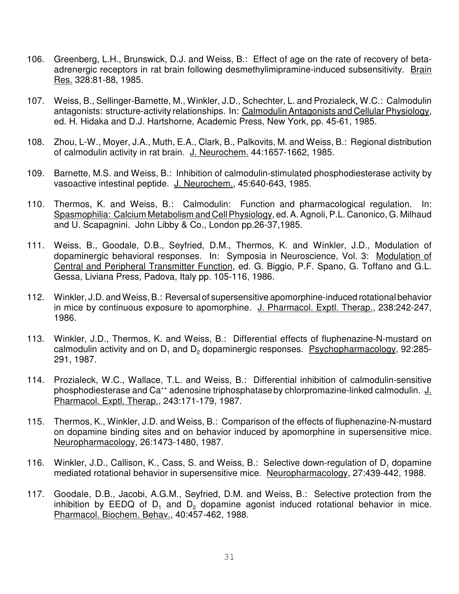- 106. Greenberg, L.H., Brunswick, D.J. and Weiss, B.: Effect of age on the rate of recovery of betaadrenergic receptors in rat brain following desmethylimipramine-induced subsensitivity. Brain Res. 328:81-88, 1985.
- 107. Weiss, B., Sellinger-Barnette, M., Winkler, J.D., Schechter, L. and Prozialeck, W.C.: Calmodulin antagonists: structure-activity relationships. In: Calmodulin Antagonists and Cellular Physiology, ed. H. Hidaka and D.J. Hartshorne, Academic Press, New York, pp. 45-61, 1985.
- 108. Zhou, L-W., Moyer, J.A., Muth, E.A., Clark, B., Palkovits, M. and Weiss, B.: Regional distribution of calmodulin activity in rat brain. J. Neurochem. 44:1657-1662, 1985.
- 109. Barnette, M.S. and Weiss, B.: Inhibition of calmodulin-stimulated phosphodiesterase activity by vasoactive intestinal peptide. J. Neurochem., 45:640-643, 1985.
- 110. Thermos, K. and Weiss, B.: Calmodulin: Function and pharmacological regulation. In: Spasmophilia: Calcium Metabolism and Cell Physiology, ed. A. Agnoli, P.L. Canonico, G. Milhaud and U. Scapagnini. John Libby & Co., London pp.26-37,1985.
- 111. Weiss, B., Goodale, D.B., Seyfried, D.M., Thermos, K. and Winkler, J.D., Modulation of dopaminergic behavioral responses. In: Symposia in Neuroscience, Vol. 3: Modulation of Central and Peripheral Transmitter Function, ed. G. Biggio, P.F. Spano, G. Toffano and G.L. Gessa, Liviana Press, Padova, Italy pp. 105-116, 1986.
- 112. Winkler, J.D. and Weiss, B.: Reversal of supersensitive apomorphine-induced rotational behavior in mice by continuous exposure to apomorphine. J. Pharmacol. Exptl. Therap., 238:242-247, 1986.
- 113. Winkler, J.D., Thermos, K. and Weiss, B.: Differential effects of fluphenazine-N-mustard on calmodulin activity and on  $\mathsf{D}_1$  and  $\mathsf{D}_2$  dopaminergic responses.  $\;$  Psychopharmacology, 92:285-291, 1987.
- 114. Prozialeck, W.C., Wallace, T.L. and Weiss, B.: Differential inhibition of calmodulin-sensitive phosphodiesterase and Ca<sup>++</sup> adenosine triphosphatase by chlorpromazine-linked calmodulin. J. Pharmacol. Exptl. Therap., 243:171-179, 1987.
- 115. Thermos, K., Winkler, J.D. and Weiss, B.: Comparison of the effects of fluphenazine-N-mustard on dopamine binding sites and on behavior induced by apomorphine in supersensitive mice. Neuropharmacology, 26:1473-1480, 1987.
- 116. Winkler, J.D., Callison, K., Cass, S. and Weiss, B.: Selective down-regulation of  $D_1$  dopamine mediated rotational behavior in supersensitive mice. Neuropharmacology, 27:439-442, 1988.
- 117. Goodale, D.B., Jacobi, A.G.M., Seyfried, D.M. and Weiss, B.: Selective protection from the inhibition by EEDQ of D<sub>1</sub> and D<sub>2</sub> dopamine agonist induced rotational behavior in mice. Pharmacol. Biochem. Behav., 40:457-462, 1988.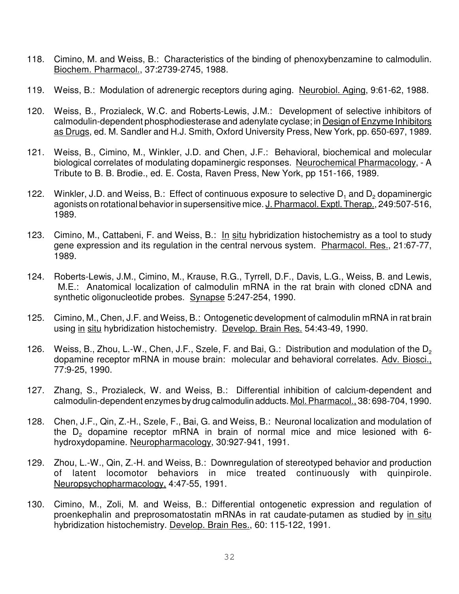- 118. Cimino, M. and Weiss, B.: Characteristics of the binding of phenoxybenzamine to calmodulin. Biochem. Pharmacol., 37:2739-2745, 1988.
- 119. Weiss, B.: Modulation of adrenergic receptors during aging. Neurobiol. Aging, 9:61-62, 1988.
- 120. Weiss, B., Prozialeck, W.C. and Roberts-Lewis, J.M.: Development of selective inhibitors of calmodulin-dependent phosphodiesterase and adenylate cyclase; in Design of Enzyme Inhibitors as Drugs, ed. M. Sandler and H.J. Smith, Oxford University Press, New York, pp. 650-697, 1989.
- 121. Weiss, B., Cimino, M., Winkler, J.D. and Chen, J.F.: Behavioral, biochemical and molecular biological correlates of modulating dopaminergic responses. Neurochemical Pharmacology, - A Tribute to B. B. Brodie., ed. E. Costa, Raven Press, New York, pp 151-166, 1989.
- 122. Winkler, J.D. and Weiss, B.: Effect of continuous exposure to selective  $D_1$  and  $D_2$  dopaminergic agonists on rotational behavior in supersensitive mice. J. Pharmacol. Exptl. Therap., 249:507-516, 1989.
- 123. Cimino, M., Cattabeni, F. and Weiss, B.: In situ hybridization histochemistry as a tool to study gene expression and its regulation in the central nervous system. Pharmacol. Res., 21:67-77, 1989.
- 124. Roberts-Lewis, J.M., Cimino, M., Krause, R.G., Tyrrell, D.F., Davis, L.G., Weiss, B. and Lewis, M.E.: Anatomical localization of calmodulin mRNA in the rat brain with cloned cDNA and synthetic oligonucleotide probes. Synapse 5:247-254, 1990.
- 125. Cimino, M., Chen, J.F. and Weiss, B.: Ontogenetic development of calmodulin mRNA in rat brain using in situ hybridization histochemistry. Develop. Brain Res. 54:43-49, 1990.
- 126. Weiss, B., Zhou, L.-W., Chen, J.F., Szele, F. and Bai, G.: Distribution and modulation of the D<sub>2</sub> dopamine receptor mRNA in mouse brain: molecular and behavioral correlates. Adv. Biosci., 77:9-25, 1990.
- 127. Zhang, S., Prozialeck, W. and Weiss, B.: Differential inhibition of calcium-dependent and calmodulin-dependent enzymes by drug calmodulin adducts. Mol. Pharmacol., 38: 698-704, 1990.
- 128. Chen, J.F., Qin, Z.-H., Szele, F., Bai, G. and Weiss, B.: Neuronal localization and modulation of the  $D_2$  dopamine receptor mRNA in brain of normal mice and mice lesioned with 6hydroxydopamine. Neuropharmacology, 30:927-941, 1991.
- 129. Zhou, L.-W., Qin, Z.-H. and Weiss, B.: Downregulation of stereotyped behavior and production of latent locomotor behaviors in mice treated continuously with quinpirole. Neuropsychopharmacology, 4:47-55, 1991.
- 130. Cimino, M., Zoli, M. and Weiss, B.: Differential ontogenetic expression and regulation of proenkephalin and preprosomatostatin mRNAs in rat caudate-putamen as studied by in situ hybridization histochemistry. Develop. Brain Res., 60: 115-122, 1991.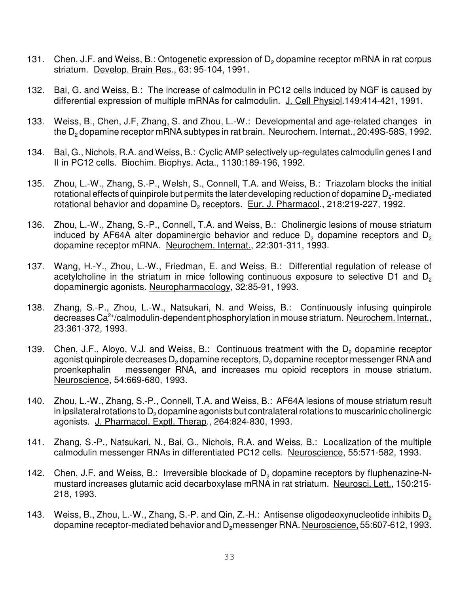- 131. Chen, J.F. and Weiss, B.: Ontogenetic expression of  $D_2$  dopamine receptor mRNA in rat corpus striatum. Develop. Brain Res., 63: 95-104, 1991.
- 132. Bai, G. and Weiss, B.: The increase of calmodulin in PC12 cells induced by NGF is caused by differential expression of multiple mRNAs for calmodulin. J. Cell Physiol.149:414-421, 1991.
- 133. Weiss, B., Chen, J.F, Zhang, S. and Zhou, L.-W.: Developmental and age-related changes in the D<sub>2</sub> dopamine receptor mRNA subtypes in rat brain. <u>Neurochem. Internat.,</u> 20:49S-58S, 1992.
- 134. Bai, G., Nichols, R.A. and Weiss, B.: Cyclic AMP selectively up-regulates calmodulin genes I and II in PC12 cells. Biochim. Biophys. Acta., 1130:189-196, 1992.
- 135. Zhou, L.-W., Zhang, S.-P., Welsh, S., Connell, T.A. and Weiss, B.: Triazolam blocks the initial rotational effects of quinpirole but permits the later developing reduction of dopamine  $\mathsf{D}_2$ -mediated rotational behavior and dopamine D<sub>2</sub> receptors. Eur. J. Pharmacol., 218:219-227, 1992.
- 136. Zhou, L.-W., Zhang, S.-P., Connell, T.A. and Weiss, B.: Cholinergic lesions of mouse striatum induced by AF64A alter dopaminergic behavior and reduce  $\mathsf{D}_2$  dopamine receptors and  $\mathsf{D}_2$ dopamine receptor mRNA. Neurochem. Internat., 22:301-311, 1993.
- 137. Wang, H.-Y., Zhou, L.-W., Friedman, E. and Weiss, B.: Differential regulation of release of acetylcholine in the striatum in mice following continuous exposure to selective D1 and  $D<sub>2</sub>$ dopaminergic agonists. Neuropharmacology, 32:85-91, 1993.
- 138. Zhang, S.-P., Zhou, L.-W., Natsukari, N. and Weiss, B.: Continuously infusing quinpirole decreases Ca<sup>2+</sup>/calmodulin-dependent phosphorylation in mouse striatum. Neurochem. Internat., 23:361-372, 1993.
- 139. Chen, J.F., Aloyo, V.J. and Weiss, B.: Continuous treatment with the  $D_2$  dopamine receptor agonist quinpirole decreases  $\mathsf{D}_2$  dopamine receptors,  $\mathsf{D}_2$  dopamine receptor messenger RNA and proenkephalin messenger RNA, and increases mu opioid receptors in mouse striatum. Neuroscience, 54:669-680, 1993.
- 140. Zhou, L.-W., Zhang, S.-P., Connell, T.A. and Weiss, B.: AF64A lesions of mouse striatum result in ipsilateral rotations to  $\mathsf{D}_2$  dopamine agonists but contralateral rotations to muscarinic cholinergic agonists. J. Pharmacol. Exptl. Therap., 264:824-830, 1993.
- 141. Zhang, S.-P., Natsukari, N., Bai, G., Nichols, R.A. and Weiss, B.: Localization of the multiple calmodulin messenger RNAs in differentiated PC12 cells. Neuroscience, 55:571-582, 1993.
- 142. Chen, J.F. and Weiss, B.: Irreversible blockade of  $D_2$  dopamine receptors by fluphenazine-Nmustard increases glutamic acid decarboxylase mRNA in rat striatum. Neurosci. Lett., 150:215- 218, 1993.
- 143. Weiss, B., Zhou, L.-W., Zhang, S.-P. and Qin, Z.-H.: Antisense oligodeoxynucleotide inhibits D<sub>2</sub> dopamine receptor-mediated behavior and D<sub>2</sub> messenger RNA. Neuroscience, 55:607-612, 1993.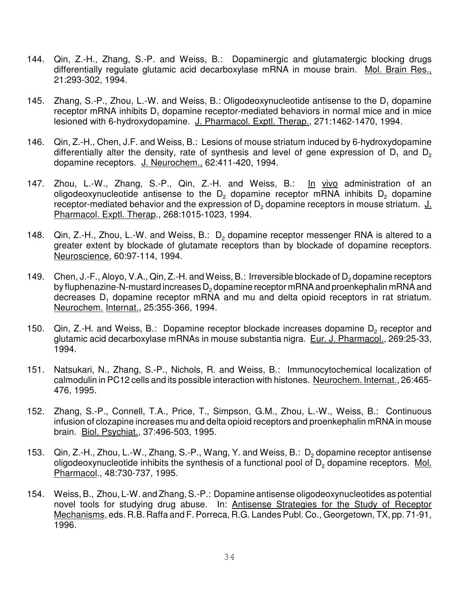- 144. Qin, Z.-H., Zhang, S.-P. and Weiss, B.: Dopaminergic and glutamatergic blocking drugs differentially regulate glutamic acid decarboxylase mRNA in mouse brain. Mol. Brain Res., 21:293-302, 1994.
- 145. Zhang, S.-P., Zhou, L.-W. and Weiss, B.: Oligodeoxynucleotide antisense to the  $D_1$  dopamine receptor mRNA inhibits  $D_1$  dopamine receptor-mediated behaviors in normal mice and in mice lesioned with 6-hydroxydopamine. J. Pharmacol. Exptl. Therap., 271:1462-1470, 1994.
- 146. Qin, Z.-H., Chen, J.F. and Weiss, B.: Lesions of mouse striatum induced by 6-hydroxydopamine differentially alter the density, rate of synthesis and level of gene expression of  $D_1$  and  $D_2$ dopamine receptors. J. Neurochem., 62:411-420, 1994.
- 147. Zhou, L.-W., Zhang, S.-P., Qin, Z.-H. and Weiss, B.: In vivo administration of an oligodeoxynucleotide antisense to the D<sub>2</sub> dopamine receptor mRNA inhibits D<sub>2</sub> dopamine receptor-mediated behavior and the expression of D<sub>2</sub> dopamine receptors in mouse striatum. J. Pharmacol. Exptl. Therap., 268:1015-1023, 1994.
- 148. Gin, Z.-H., Zhou, L.-W. and Weiss, B.: D<sub>2</sub> dopamine receptor messenger RNA is altered to a greater extent by blockade of glutamate receptors than by blockade of dopamine receptors. Neuroscience, 60:97-114, 1994.
- 149. Chen, J.-F., Aloyo, V.A., Qin, Z.-H. and Weiss, B.: Irreversible blockade of  $D_2$  dopamine receptors by fluphenazine-N-mustard increases  $\mathsf{D}_2$  dopamine receptor mRNA and proenkephalin mRNA and decreases D<sub>1</sub> dopamine receptor mRNA and mu and delta opioid receptors in rat striatum. Neurochem. Internat., 25:355-366, 1994.
- 150. Qin, Z.-H. and Weiss, B.: Dopamine receptor blockade increases dopamine  $D_2$  receptor and glutamic acid decarboxylase mRNAs in mouse substantia nigra. Eur. J. Pharmacol., 269:25-33, 1994.
- 151. Natsukari, N., Zhang, S.-P., Nichols, R. and Weiss, B.: Immunocytochemical localization of calmodulin in PC12 cells and its possible interaction with histones. Neurochem. Internat., 26:465- 476, 1995.
- 152. Zhang, S.-P., Connell, T.A., Price, T., Simpson, G.M., Zhou, L.-W., Weiss, B.: Continuous infusion of clozapine increases mu and delta opioid receptors and proenkephalin mRNA in mouse brain. Biol. Psychiat., 37:496-503, 1995.
- 153.  $Q$ in, Z.-H., Zhou, L.-W., Zhang, S.-P., Wang, Y. and Weiss, B.:  $D_2$  dopamine receptor antisense oligodeoxynucleotide inhibits the synthesis of a functional pool of D<sub>2</sub> dopamine receptors. Mol. Pharmacol., 48:730-737, 1995.
- 154. Weiss, B., Zhou, L-W. and Zhang, S.-P.: Dopamine antisense oligodeoxynucleotides as potential novel tools for studying drug abuse. In: Antisense Strategies for the Study of Receptor Mechanisms, eds. R.B. Raffa and F. Porreca, R.G. Landes Publ. Co., Georgetown, TX, pp. 71-91, 1996.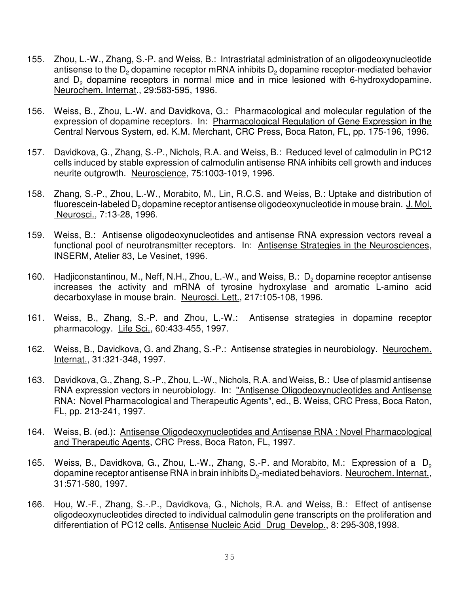- 155. Zhou, L.-W., Zhang, S.-P. and Weiss, B.: Intrastriatal administration of an oligodeoxynucleotide antisense to the  $\mathsf{D}_2$  dopamine receptor mRNA inhibits  $\mathsf{D}_2$  dopamine receptor-mediated behavior and  $D_2$  dopamine receptors in normal mice and in mice lesioned with 6-hydroxydopamine. Neurochem. Internat., 29:583-595, 1996.
- 156. Weiss, B., Zhou, L.-W. and Davidkova, G.: Pharmacological and molecular regulation of the expression of dopamine receptors. In: Pharmacological Regulation of Gene Expression in the Central Nervous System, ed. K.M. Merchant, CRC Press, Boca Raton, FL, pp. 175-196, 1996.
- 157. Davidkova, G., Zhang, S.-P., Nichols, R.A. and Weiss, B.: Reduced level of calmodulin in PC12 cells induced by stable expression of calmodulin antisense RNA inhibits cell growth and induces neurite outgrowth. Neuroscience, 75:1003-1019, 1996.
- 158. Zhang, S.-P., Zhou, L.-W., Morabito, M., Lin, R.C.S. and Weiss, B.: Uptake and distribution of fluorescein-labeled D<sub>2</sub> dopamine receptor antisense oligodeoxynucleotide in mouse brain. <u>J. Mol.</u> Neurosci., 7:13-28, 1996.
- 159. Weiss, B.: Antisense oligodeoxynucleotides and antisense RNA expression vectors reveal a functional pool of neurotransmitter receptors. In: Antisense Strategies in the Neurosciences, INSERM, Atelier 83, Le Vesinet, 1996.
- 160. Hadjiconstantinou, M., Neff, N.H., Zhou, L.-W., and Weiss, B.:  $D_2$  dopamine receptor antisense increases the activity and mRNA of tyrosine hydroxylase and aromatic L-amino acid decarboxylase in mouse brain. Neurosci. Lett., 217:105-108, 1996.
- 161. Weiss, B., Zhang, S.-P. and Zhou, L.-W.: Antisense strategies in dopamine receptor pharmacology. Life Sci., 60:433-455, 1997.
- 162. Weiss, B., Davidkova, G. and Zhang, S.-P.: Antisense strategies in neurobiology. Neurochem. Internat., 31:321-348, 1997.
- 163. Davidkova, G., Zhang, S.-P., Zhou, L.-W., Nichols, R.A. and Weiss, B.: Use of plasmid antisense RNA expression vectors in neurobiology. In: "Antisense Oligodeoxynucleotides and Antisense RNA: Novel Pharmacological and Therapeutic Agents", ed., B. Weiss, CRC Press, Boca Raton, FL, pp. 213-241, 1997.
- 164. Weiss, B. (ed.): Antisense Oligodeoxynucleotides and Antisense RNA : Novel Pharmacological and Therapeutic Agents, CRC Press, Boca Raton, FL, 1997.
- 165. Weiss, B., Davidkova, G., Zhou, L.-W., Zhang, S.-P. and Morabito, M.: Expression of a D<sub>2</sub> dopamine receptor antisense RNA in brain inhibits D<sub>2</sub>-mediated behaviors. <u>Neurochem. Internat.,</u> 31:571-580, 1997.
- 166. Hou, W.-F., Zhang, S.-.P., Davidkova, G., Nichols, R.A. and Weiss, B.: Effect of antisense oligodeoxynucleotides directed to individual calmodulin gene transcripts on the proliferation and differentiation of PC12 cells. Antisense Nucleic Acid Drug Develop., 8: 295-308,1998.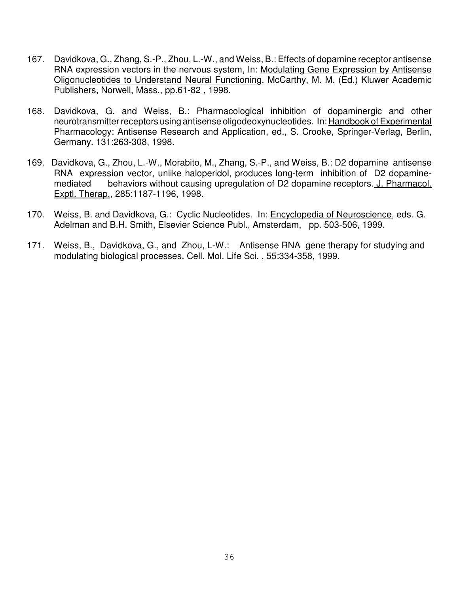- 167. Davidkova, G., Zhang, S.-P., Zhou, L.-W., and Weiss, B.: Effects of dopamine receptor antisense RNA expression vectors in the nervous system, In: Modulating Gene Expression by Antisense Oligonucleotides to Understand Neural Functioning. McCarthy, M. M. (Ed.) Kluwer Academic Publishers, Norwell, Mass., pp.61-82 , 1998.
- 168. Davidkova, G. and Weiss, B.: Pharmacological inhibition of dopaminergic and other neurotransmitter receptors using antisense oligodeoxynucleotides. In: Handbook of Experimental Pharmacology: Antisense Research and Application, ed., S. Crooke, Springer-Verlag, Berlin, Germany. 131:263-308, 1998.
- 169. Davidkova, G., Zhou, L.-W., Morabito, M., Zhang, S.-P., and Weiss, B.: D2 dopamine antisense RNA expression vector, unlike haloperidol, produces long-term inhibition of D2 dopaminemediated behaviors without causing upregulation of D2 dopamine receptors. J. Pharmacol. Exptl. Therap., 285:1187-1196, 1998.
- 170. Weiss, B. and Davidkova, G.: Cyclic Nucleotides. In: Encyclopedia of Neuroscience, eds. G. Adelman and B.H. Smith, Elsevier Science Publ., Amsterdam, pp. 503-506, 1999.
- 171. Weiss, B., Davidkova, G., and Zhou, L-W.: Antisense RNA gene therapy for studying and modulating biological processes. Cell. Mol. Life Sci. , 55:334-358, 1999.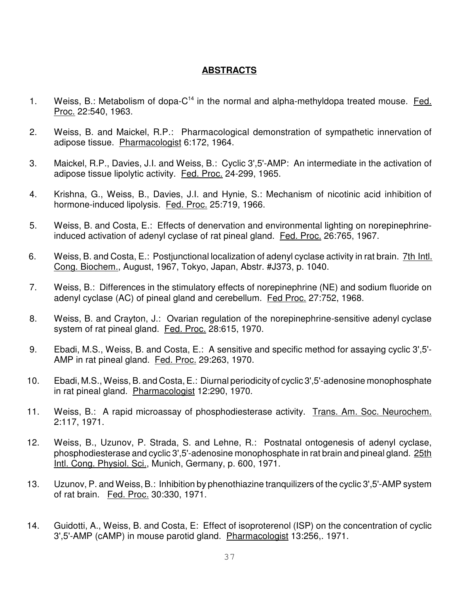## **ABSTRACTS**

- 1. Weiss, B.: Metabolism of dopa- $C^{14}$  in the normal and alpha-methyldopa treated mouse. Fed. Proc. 22:540, 1963.
- 2. Weiss, B. and Maickel, R.P.: Pharmacological demonstration of sympathetic innervation of adipose tissue. Pharmacologist 6:172, 1964.
- 3. Maickel, R.P., Davies, J.I. and Weiss, B.: Cyclic 3',5'-AMP: An intermediate in the activation of adipose tissue lipolytic activity. Fed. Proc. 24-299, 1965.
- 4. Krishna, G., Weiss, B., Davies, J.I. and Hynie, S.: Mechanism of nicotinic acid inhibition of hormone-induced lipolysis. Fed. Proc. 25:719, 1966.
- 5. Weiss, B. and Costa, E.: Effects of denervation and environmental lighting on norepinephrineinduced activation of adenyl cyclase of rat pineal gland. Fed. Proc. 26:765, 1967.
- 6. Weiss, B. and Costa, E.: Postjunctional localization of adenyl cyclase activity in rat brain. 7th Intl. Cong. Biochem., August, 1967, Tokyo, Japan, Abstr. #J373, p. 1040.
- 7. Weiss, B.: Differences in the stimulatory effects of norepinephrine (NE) and sodium fluoride on adenyl cyclase (AC) of pineal gland and cerebellum. Fed Proc. 27:752, 1968.
- 8. Weiss, B. and Crayton, J.: Ovarian regulation of the norepinephrine-sensitive adenyl cyclase system of rat pineal gland. Fed. Proc. 28:615, 1970.
- 9. Ebadi, M.S., Weiss, B. and Costa, E.: A sensitive and specific method for assaying cyclic 3',5'- AMP in rat pineal gland. Fed. Proc. 29:263, 1970.
- 10. Ebadi, M.S., Weiss, B. and Costa, E.: Diurnal periodicity of cyclic 3',5'-adenosine monophosphate in rat pineal gland. Pharmacologist 12:290, 1970.
- 11. Weiss, B.: A rapid microassay of phosphodiesterase activity. Trans. Am. Soc. Neurochem. 2:117, 1971.
- 12. Weiss, B., Uzunov, P. Strada, S. and Lehne, R.: Postnatal ontogenesis of adenyl cyclase, phosphodiesterase and cyclic 3',5'-adenosine monophosphate in rat brain and pineal gland. 25th Intl. Cong. Physiol. Sci., Munich, Germany, p. 600, 1971.
- 13. Uzunov, P. and Weiss, B.: Inhibition by phenothiazine tranquilizers of the cyclic 3',5'-AMP system of rat brain. Fed. Proc. 30:330, 1971.
- 14. Guidotti, A., Weiss, B. and Costa, E: Effect of isoproterenol (ISP) on the concentration of cyclic 3',5'-AMP (cAMP) in mouse parotid gland. Pharmacologist 13:256,. 1971.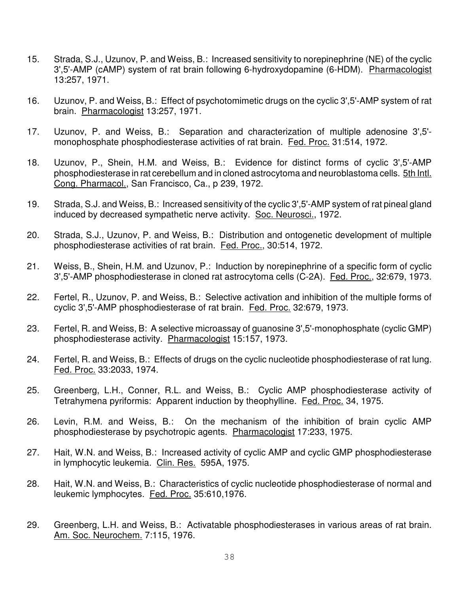- 15. Strada, S.J., Uzunov, P. and Weiss, B.: Increased sensitivity to norepinephrine (NE) of the cyclic 3',5'-AMP (cAMP) system of rat brain following 6-hydroxydopamine (6-HDM). Pharmacologist 13:257, 1971.
- 16. Uzunov, P. and Weiss, B.: Effect of psychotomimetic drugs on the cyclic 3',5'-AMP system of rat brain. Pharmacologist 13:257, 1971.
- 17. Uzunov, P. and Weiss, B.: Separation and characterization of multiple adenosine 3',5' monophosphate phosphodiesterase activities of rat brain. Fed. Proc. 31:514, 1972.
- 18. Uzunov, P., Shein, H.M. and Weiss, B.: Evidence for distinct forms of cyclic 3',5'-AMP phosphodiesterase in rat cerebellum and in cloned astrocytoma and neuroblastoma cells. 5th Intl. Cong. Pharmacol., San Francisco, Ca., p 239, 1972.
- 19. Strada, S.J. and Weiss, B.: Increased sensitivity of the cyclic 3',5'-AMP system of rat pineal gland induced by decreased sympathetic nerve activity. Soc. Neurosci., 1972.
- 20. Strada, S.J., Uzunov, P. and Weiss, B.: Distribution and ontogenetic development of multiple phosphodiesterase activities of rat brain. Fed. Proc., 30:514, 1972.
- 21. Weiss, B., Shein, H.M. and Uzunov, P.: Induction by norepinephrine of a specific form of cyclic 3',5'-AMP phosphodiesterase in cloned rat astrocytoma cells (C-2A). Fed. Proc., 32:679, 1973.
- 22. Fertel, R., Uzunov, P. and Weiss, B.: Selective activation and inhibition of the multiple forms of cyclic 3',5'-AMP phosphodiesterase of rat brain. Fed. Proc. 32:679, 1973.
- 23. Fertel, R. and Weiss, B: A selective microassay of guanosine 3',5'-monophosphate (cyclic GMP) phosphodiesterase activity. Pharmacologist 15:157, 1973.
- 24. Fertel, R. and Weiss, B.: Effects of drugs on the cyclic nucleotide phosphodiesterase of rat lung. Fed. Proc. 33:2033, 1974.
- 25. Greenberg, L.H., Conner, R.L. and Weiss, B.: Cyclic AMP phosphodiesterase activity of Tetrahymena pyriformis: Apparent induction by theophylline. Fed. Proc. 34, 1975.
- 26. Levin, R.M. and Weiss, B.: On the mechanism of the inhibition of brain cyclic AMP phosphodiesterase by psychotropic agents. Pharmacologist 17:233, 1975.
- 27. Hait, W.N. and Weiss, B.: Increased activity of cyclic AMP and cyclic GMP phosphodiesterase in lymphocytic leukemia. Clin. Res. 595A, 1975.
- 28. Hait, W.N. and Weiss, B.: Characteristics of cyclic nucleotide phosphodiesterase of normal and leukemic lymphocytes. Fed. Proc. 35:610,1976.
- 29. Greenberg, L.H. and Weiss, B.: Activatable phosphodiesterases in various areas of rat brain. Am. Soc. Neurochem. 7:115, 1976.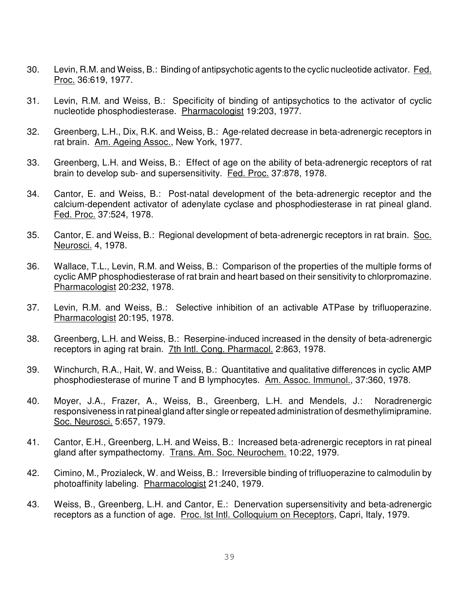- 30. Levin, R.M. and Weiss, B.: Binding of antipsychotic agents to the cyclic nucleotide activator. Fed. Proc. 36:619, 1977.
- 31. Levin, R.M. and Weiss, B.: Specificity of binding of antipsychotics to the activator of cyclic nucleotide phosphodiesterase. Pharmacologist 19:203, 1977.
- 32. Greenberg, L.H., Dix, R.K. and Weiss, B.: Age-related decrease in beta-adrenergic receptors in rat brain. Am. Ageing Assoc., New York, 1977.
- 33. Greenberg, L.H. and Weiss, B.: Effect of age on the ability of beta-adrenergic receptors of rat brain to develop sub- and supersensitivity. Fed. Proc. 37:878, 1978.
- 34. Cantor, E. and Weiss, B.: Post-natal development of the beta-adrenergic receptor and the calcium-dependent activator of adenylate cyclase and phosphodiesterase in rat pineal gland. Fed. Proc. 37:524, 1978.
- 35. Cantor, E. and Weiss, B.: Regional development of beta-adrenergic receptors in rat brain. Soc. Neurosci. 4, 1978.
- 36. Wallace, T.L., Levin, R.M. and Weiss, B.: Comparison of the properties of the multiple forms of cyclic AMP phosphodiesterase of rat brain and heart based on their sensitivity to chlorpromazine. Pharmacologist 20:232, 1978.
- 37. Levin, R.M. and Weiss, B.: Selective inhibition of an activable ATPase by trifluoperazine. Pharmacologist 20:195, 1978.
- 38. Greenberg, L.H. and Weiss, B.: Reserpine-induced increased in the density of beta-adrenergic receptors in aging rat brain. 7th Intl. Cong. Pharmacol. 2:863, 1978.
- 39. Winchurch, R.A., Hait, W. and Weiss, B.: Quantitative and qualitative differences in cyclic AMP phosphodiesterase of murine T and B lymphocytes. Am. Assoc. Immunol., 37:360, 1978.
- 40. Moyer, J.A., Frazer, A., Weiss, B., Greenberg, L.H. and Mendels, J.: Noradrenergic responsiveness in rat pineal gland after single or repeated administration of desmethylimipramine. Soc. Neurosci. 5:657, 1979.
- 41. Cantor, E.H., Greenberg, L.H. and Weiss, B.: Increased beta-adrenergic receptors in rat pineal gland after sympathectomy. Trans. Am. Soc. Neurochem. 10:22, 1979.
- 42. Cimino, M., Prozialeck, W. and Weiss, B.: Irreversible binding of trifluoperazine to calmodulin by photoaffinity labeling. Pharmacologist 21:240, 1979.
- 43. Weiss, B., Greenberg, L.H. and Cantor, E.: Denervation supersensitivity and beta-adrenergic receptors as a function of age. Proc. lst Intl. Colloquium on Receptors, Capri, Italy, 1979.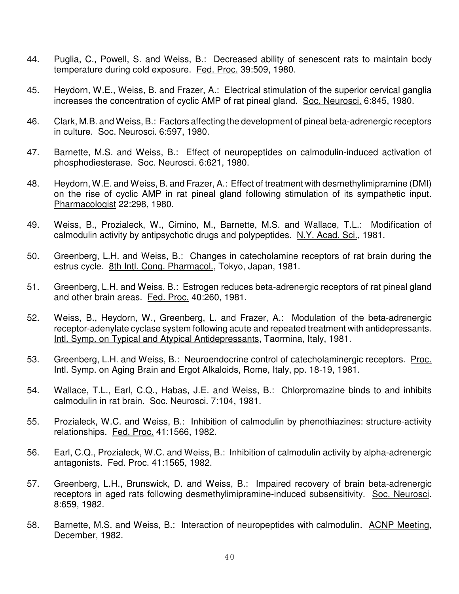- 44. Puglia, C., Powell, S. and Weiss, B.: Decreased ability of senescent rats to maintain body temperature during cold exposure. Fed. Proc. 39:509, 1980.
- 45. Heydorn, W.E., Weiss, B. and Frazer, A.: Electrical stimulation of the superior cervical ganglia increases the concentration of cyclic AMP of rat pineal gland. Soc. Neurosci. 6:845, 1980.
- 46. Clark, M.B. and Weiss, B.: Factors affecting the development of pineal beta-adrenergic receptors in culture. Soc. Neurosci. 6:597, 1980.
- 47. Barnette, M.S. and Weiss, B.: Effect of neuropeptides on calmodulin-induced activation of phosphodiesterase. Soc. Neurosci. 6:621, 1980.
- 48. Heydorn, W.E. and Weiss, B. and Frazer, A.: Effect of treatment with desmethylimipramine (DMI) on the rise of cyclic AMP in rat pineal gland following stimulation of its sympathetic input. Pharmacologist 22:298, 1980.
- 49. Weiss, B., Prozialeck, W., Cimino, M., Barnette, M.S. and Wallace, T.L.: Modification of calmodulin activity by antipsychotic drugs and polypeptides. N.Y. Acad. Sci., 1981.
- 50. Greenberg, L.H. and Weiss, B.: Changes in catecholamine receptors of rat brain during the estrus cycle. 8th Intl. Cong. Pharmacol., Tokyo, Japan, 1981.
- 51. Greenberg, L.H. and Weiss, B.: Estrogen reduces beta-adrenergic receptors of rat pineal gland and other brain areas. Fed. Proc. 40:260, 1981.
- 52. Weiss, B., Heydorn, W., Greenberg, L. and Frazer, A.: Modulation of the beta-adrenergic receptor-adenylate cyclase system following acute and repeated treatment with antidepressants. Intl. Symp. on Typical and Atypical Antidepressants, Taormina, Italy, 1981.
- 53. Greenberg, L.H. and Weiss, B.: Neuroendocrine control of catecholaminergic receptors. Proc. Intl. Symp. on Aging Brain and Ergot Alkaloids, Rome, Italy, pp. 18-19, 1981.
- 54. Wallace, T.L., Earl, C.Q., Habas, J.E. and Weiss, B.: Chlorpromazine binds to and inhibits calmodulin in rat brain. Soc. Neurosci. 7:104, 1981.
- 55. Prozialeck, W.C. and Weiss, B.: Inhibition of calmodulin by phenothiazines: structure-activity relationships. Fed. Proc. 41:1566, 1982.
- 56. Earl, C.Q., Prozialeck, W.C. and Weiss, B.: Inhibition of calmodulin activity by alpha-adrenergic antagonists. Fed. Proc. 41:1565, 1982.
- 57. Greenberg, L.H., Brunswick, D. and Weiss, B.: Impaired recovery of brain beta-adrenergic receptors in aged rats following desmethylimipramine-induced subsensitivity. Soc. Neurosci. 8:659, 1982.
- 58. Barnette, M.S. and Weiss, B.: Interaction of neuropeptides with calmodulin. ACNP Meeting, December, 1982.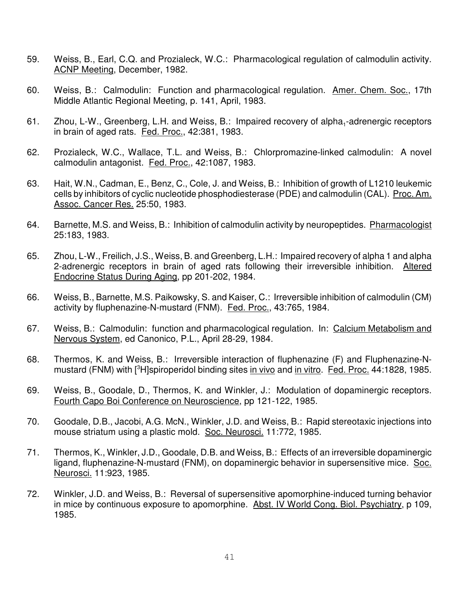- 59. Weiss, B., Earl, C.Q. and Prozialeck, W.C.: Pharmacological regulation of calmodulin activity. ACNP Meeting, December, 1982.
- 60. Weiss, B.: Calmodulin: Function and pharmacological regulation. Amer. Chem. Soc., 17th Middle Atlantic Regional Meeting, p. 141, April, 1983.
- 61. Zhou, L-W., Greenberg, L.H. and Weiss, B.: Impaired recovery of alpha<sub>1</sub>-adrenergic receptors in brain of aged rats. Fed. Proc., 42:381, 1983.
- 62. Prozialeck, W.C., Wallace, T.L. and Weiss, B.: Chlorpromazine-linked calmodulin: A novel calmodulin antagonist. Fed. Proc., 42:1087, 1983.
- 63. Hait, W.N., Cadman, E., Benz, C., Cole, J. and Weiss, B.: Inhibition of growth of L1210 leukemic cells by inhibitors of cyclic nucleotide phosphodiesterase (PDE) and calmodulin (CAL). Proc. Am. Assoc. Cancer Res. 25:50, 1983.
- 64. Barnette, M.S. and Weiss, B.: Inhibition of calmodulin activity by neuropeptides. Pharmacologist 25:183, 1983.
- 65. Zhou, L-W., Freilich, J.S., Weiss, B. and Greenberg, L.H.: Impaired recovery of alpha 1 and alpha 2-adrenergic receptors in brain of aged rats following their irreversible inhibition. Altered Endocrine Status During Aging, pp 201-202, 1984.
- 66. Weiss, B., Barnette, M.S. Paikowsky, S. and Kaiser, C.: Irreversible inhibition of calmodulin (CM) activity by fluphenazine-N-mustard (FNM). Fed. Proc., 43:765, 1984.
- 67. Weiss, B.: Calmodulin: function and pharmacological regulation. In: Calcium Metabolism and Nervous System, ed Canonico, P.L., April 28-29, 1984.
- 68. Thermos, K. and Weiss, B.: Irreversible interaction of fluphenazine (F) and Fluphenazine-Nmustard (FNM) with <sup>3</sup>H]spiroperidol binding sites in vivo and in vitro. Fed. Proc. 44:1828, 1985.
- 69. Weiss, B., Goodale, D., Thermos, K. and Winkler, J.: Modulation of dopaminergic receptors. Fourth Capo Boi Conference on Neuroscience, pp 121-122, 1985.
- 70. Goodale, D.B., Jacobi, A.G. McN., Winkler, J.D. and Weiss, B.: Rapid stereotaxic injections into mouse striatum using a plastic mold. Soc. Neurosci. 11:772, 1985.
- 71. Thermos, K., Winkler, J.D., Goodale, D.B. and Weiss, B.: Effects of an irreversible dopaminergic ligand, fluphenazine-N-mustard (FNM), on dopaminergic behavior in supersensitive mice. Soc. Neurosci. 11:923, 1985.
- 72. Winkler, J.D. and Weiss, B.: Reversal of supersensitive apomorphine-induced turning behavior in mice by continuous exposure to apomorphine. Abst. IV World Cong. Biol. Psychiatry, p 109, 1985.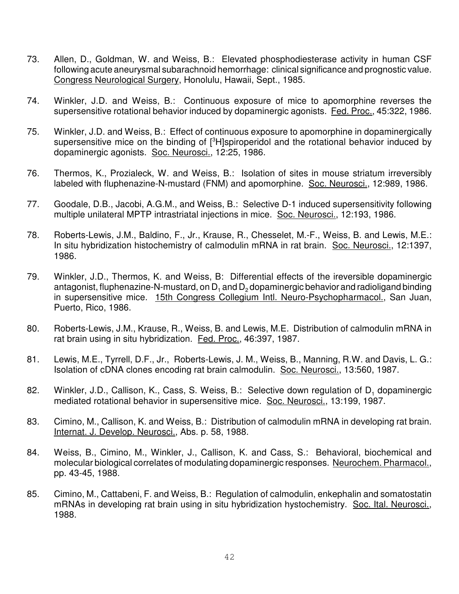- 73. Allen, D., Goldman, W. and Weiss, B.: Elevated phosphodiesterase activity in human CSF following acute aneurysmal subarachnoid hemorrhage: clinical significance and prognostic value. Congress Neurological Surgery, Honolulu, Hawaii, Sept., 1985.
- 74. Winkler, J.D. and Weiss, B.: Continuous exposure of mice to apomorphine reverses the supersensitive rotational behavior induced by dopaminergic agonists. Fed. Proc., 45:322, 1986.
- 75. Winkler, J.D. and Weiss, B.: Effect of continuous exposure to apomorphine in dopaminergically supersensitive mice on the binding of [<sup>3</sup>H]spiroperidol and the rotational behavior induced by dopaminergic agonists. Soc. Neurosci., 12:25, 1986.
- 76. Thermos, K., Prozialeck, W. and Weiss, B.: Isolation of sites in mouse striatum irreversibly labeled with fluphenazine-N-mustard (FNM) and apomorphine. Soc. Neurosci., 12:989, 1986.
- 77. Goodale, D.B., Jacobi, A.G.M., and Weiss, B.: Selective D-1 induced supersensitivity following multiple unilateral MPTP intrastriatal injections in mice. Soc. Neurosci., 12:193, 1986.
- 78. Roberts-Lewis, J.M., Baldino, F., Jr., Krause, R., Chesselet, M.-F., Weiss, B. and Lewis, M.E.: In situ hybridization histochemistry of calmodulin mRNA in rat brain. Soc. Neurosci., 12:1397, 1986.
- 79. Winkler, J.D., Thermos, K. and Weiss, B: Differential effects of the ireversible dopaminergic antagonist, fluphenazine-N-mustard, on  $\mathsf{D}_1$  and  $\mathsf{D}_2$  dopaminergic behavior and radioligand binding in supersensitive mice. 15th Congress Collegium Intl. Neuro-Psychopharmacol., San Juan, Puerto, Rico, 1986.
- 80. Roberts-Lewis, J.M., Krause, R., Weiss, B. and Lewis, M.E. Distribution of calmodulin mRNA in rat brain using in situ hybridization. Fed. Proc., 46:397, 1987.
- 81. Lewis, M.E., Tyrrell, D.F., Jr., Roberts-Lewis, J. M., Weiss, B., Manning, R.W. and Davis, L. G.: Isolation of cDNA clones encoding rat brain calmodulin. Soc. Neurosci., 13:560, 1987.
- 82. Winkler, J.D., Callison, K., Cass, S. Weiss, B.: Selective down regulation of  $D_1$  dopaminergic mediated rotational behavior in supersensitive mice. Soc. Neurosci., 13:199, 1987.
- 83. Cimino, M., Callison, K. and Weiss, B.: Distribution of calmodulin mRNA in developing rat brain. Internat. J. Develop. Neurosci., Abs. p. 58, 1988.
- 84. Weiss, B., Cimino, M., Winkler, J., Callison, K. and Cass, S.: Behavioral, biochemical and molecular biological correlates of modulating dopaminergic responses. Neurochem. Pharmacol., pp. 43-45, 1988.
- 85. Cimino, M., Cattabeni, F. and Weiss, B.: Regulation of calmodulin, enkephalin and somatostatin mRNAs in developing rat brain using in situ hybridization hystochemistry. Soc. Ital. Neurosci., 1988.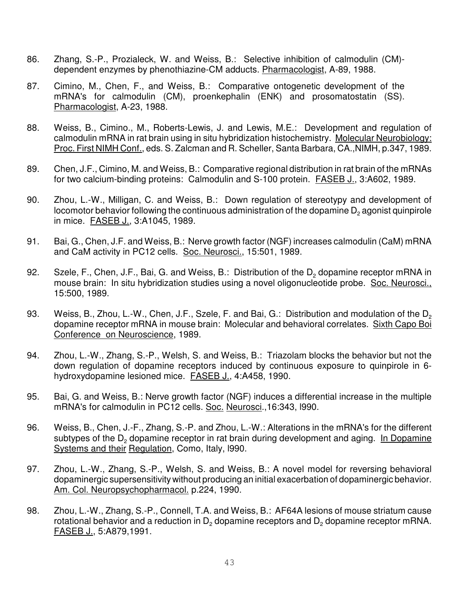- 86. Zhang, S.-P., Prozialeck, W. and Weiss, B.: Selective inhibition of calmodulin (CM) dependent enzymes by phenothiazine-CM adducts. Pharmacologist, A-89, 1988.
- 87. Cimino, M., Chen, F., and Weiss, B.: Comparative ontogenetic development of the mRNA's for calmodulin (CM), proenkephalin (ENK) and prosomatostatin (SS). Pharmacologist, A-23, 1988.
- 88. Weiss, B., Cimino., M., Roberts-Lewis, J. and Lewis, M.E.: Development and regulation of calmodulin mRNA in rat brain using in situ hybridization histochemistry. Molecular Neurobiology: Proc. First NIMH Conf., eds. S. Zalcman and R. Scheller, Santa Barbara, CA.,NIMH, p.347, 1989.
- 89. Chen, J.F., Cimino, M. and Weiss, B.: Comparative regional distribution in rat brain of the mRNAs for two calcium-binding proteins: Calmodulin and S-100 protein. **FASEB J., 3:A602, 1989.**
- 90. Zhou, L.-W., Milligan, C. and Weiss, B.: Down regulation of stereotypy and development of locomotor behavior following the continuous administration of the dopamine  $\mathsf{D}_2$  agonist quinpirole in mice. FASEB J., 3:A1045, 1989.
- 91. Bai, G., Chen, J.F. and Weiss, B.: Nerve growth factor (NGF) increases calmodulin (CaM) mRNA and CaM activity in PC12 cells. Soc. Neurosci., 15:501, 1989.
- 92. Szele, F., Chen, J.F., Bai, G. and Weiss, B.: Distribution of the D<sub>2</sub> dopamine receptor mRNA in mouse brain: In situ hybridization studies using a novel oligonucleotide probe. Soc. Neurosci., 15:500, 1989.
- 93. Weiss, B., Zhou, L.-W., Chen, J.F., Szele, F. and Bai, G.: Distribution and modulation of the D<sub>2</sub> dopamine receptor mRNA in mouse brain: Molecular and behavioral correlates. Sixth Capo Boi Conference on Neuroscience, 1989.
- 94. Zhou, L.-W., Zhang, S.-P., Welsh, S. and Weiss, B.: Triazolam blocks the behavior but not the down regulation of dopamine receptors induced by continuous exposure to quinpirole in 6 hydroxydopamine lesioned mice. FASEB J., 4:A458, 1990.
- 95. Bai, G. and Weiss, B.: Nerve growth factor (NGF) induces a differential increase in the multiple mRNA's for calmodulin in PC12 cells. Soc. Neurosci.,16:343, l990.
- 96. Weiss, B., Chen, J.-F., Zhang, S.-P. and Zhou, L.-W.: Alterations in the mRNA's for the different subtypes of the D<sub>2</sub> dopamine receptor in rat brain during development and aging. In Dopamine Systems and their Regulation, Como, Italy, l990.
- 97. Zhou, L.-W., Zhang, S.-P., Welsh, S. and Weiss, B.: A novel model for reversing behavioral dopaminergic supersensitivity without producing an initial exacerbation of dopaminergic behavior. Am. Col. Neuropsychopharmacol. p.224, 1990.
- 98. Zhou, L.-W., Zhang, S.-P., Connell, T.A. and Weiss, B.: AF64A lesions of mouse striatum cause rotational behavior and a reduction in  $\mathsf{D}_2$  dopamine receptors and  $\mathsf{D}_2$  dopamine receptor mRNA. FASEB J., 5:A879,1991.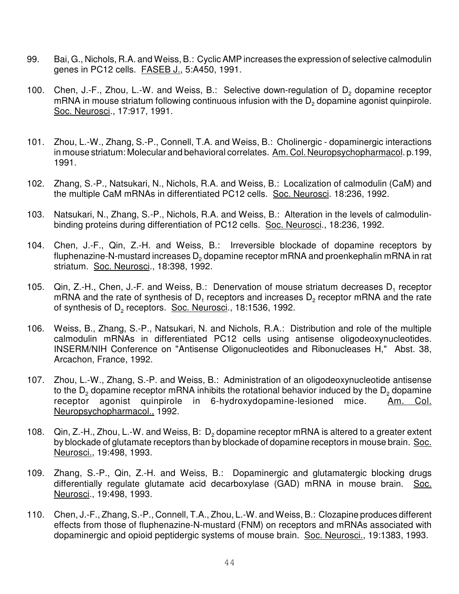- 99. Bai, G., Nichols, R.A. and Weiss, B.: Cyclic AMP increases the expression of selective calmodulin genes in PC12 cells. FASEB J., 5:A450, 1991.
- 100. Chen, J.-F., Zhou, L.-W. and Weiss, B.: Selective down-regulation of  $D_2$  dopamine receptor mRNA in mouse striatum following continuous infusion with the  $\mathsf{D}_2$  dopamine agonist quinpirole. Soc. Neurosci., 17:917, 1991.
- 101. Zhou, L.-W., Zhang, S.-P., Connell, T.A. and Weiss, B.: Cholinergic dopaminergic interactions in mouse striatum: Molecular and behavioral correlates. Am. Col. Neuropsychopharmacol. p.199, 1991.
- 102. Zhang, S.-P., Natsukari, N., Nichols, R.A. and Weiss, B.: Localization of calmodulin (CaM) and the multiple CaM mRNAs in differentiated PC12 cells. Soc. Neurosci. 18:236, 1992.
- 103. Natsukari, N., Zhang, S.-P., Nichols, R.A. and Weiss, B.: Alteration in the levels of calmodulinbinding proteins during differentiation of PC12 cells. Soc. Neurosci., 18:236, 1992.
- 104. Chen, J.-F., Qin, Z.-H. and Weiss, B.: Irreversible blockade of dopamine receptors by fluphenazine-N-mustard increases  $\mathsf{D}_2$  dopamine receptor mRNA and proenkephalin mRNA in rat striatum. Soc. Neurosci., 18:398, 1992.
- 105.  $\,$  Qin, Z.-H., Chen, J.-F. and Weiss, B.: Denervation of mouse striatum decreases D<sub>1</sub> receptor mRNA and the rate of synthesis of D<sub>1</sub> receptors and increases D<sub>2</sub> receptor mRNA and the rate of synthesis of D<sub>2</sub> receptors. Soc. Neurosci., 18:1536, 1992.
- 106. Weiss, B., Zhang, S.-P., Natsukari, N. and Nichols, R.A.: Distribution and role of the multiple calmodulin mRNAs in differentiated PC12 cells using antisense oligodeoxynucleotides. INSERM/NIH Conference on "Antisense Oligonucleotides and Ribonucleases H," Abst. 38, Arcachon, France, 1992.
- 107. Zhou, L.-W., Zhang, S.-P. and Weiss, B.: Administration of an oligodeoxynucleotide antisense to the D $_{\text{2}}$  dopamine receptor mRNA inhibits the rotational behavior induced by the D $_{\text{2}}$  dopamine receptor agonist quinpirole in 6-hydroxydopamine-lesioned mice. Am. Col. Neuropsychopharmacol., 1992.
- 108. Qin, Z.-H., Zhou, L.-W. and Weiss, B:  $D_2$  dopamine receptor mRNA is altered to a greater extent by blockade of glutamate receptors than by blockade of dopamine receptors in mouse brain. Soc. Neurosci., 19:498, 1993.
- 109. Zhang, S.-P., Qin, Z.-H. and Weiss, B.: Dopaminergic and glutamatergic blocking drugs differentially regulate glutamate acid decarboxylase (GAD) mRNA in mouse brain. Soc. Neurosci., 19:498, 1993.
- 110. Chen, J.-F., Zhang, S.-P., Connell, T.A., Zhou, L.-W. and Weiss, B.: Clozapine produces different effects from those of fluphenazine-N-mustard (FNM) on receptors and mRNAs associated with dopaminergic and opioid peptidergic systems of mouse brain. Soc. Neurosci., 19:1383, 1993.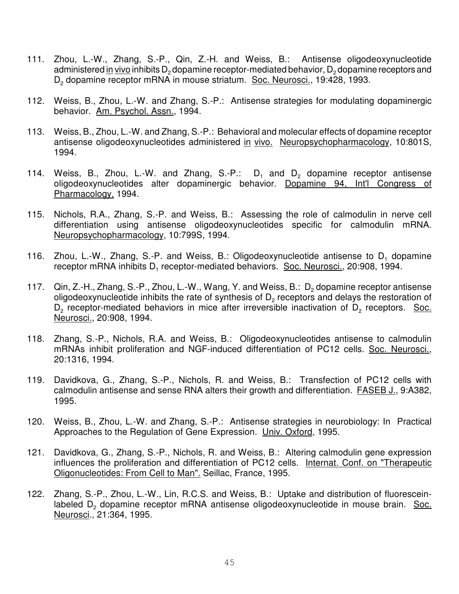- 111. Zhou, L.-W., Zhang, S.-P., Qin, Z.-H. and Weiss, B.: Antisense oligodeoxynucleotide administered <u>in vivo</u> inhibits D<sub>2</sub> dopamine receptor-mediated behavior, D<sub>2</sub> dopamine receptors and D<sub>2</sub> dopamine receptor mRNA in mouse striatum. Soc. Neurosci., 19:428, 1993.
- 112. Weiss, B., Zhou, L.-W. and Zhang, S.-P.: Antisense strategies for modulating dopaminergic behavior. Am. Psychol. Assn., 1994.
- 113. Weiss, B., Zhou, L.-W. and Zhang, S.-P.: Behavioral and molecular effects of dopamine receptor antisense oligodeoxynucleotides administered in vivo. Neuropsychopharmacology, 10:801S, 1994.
- 114. Weiss, B., Zhou, L.-W. and Zhang, S.-P.:  $D_1$  and  $D_2$  dopamine receptor antisense oligodeoxynucleotides alter dopaminergic behavior. Dopamine 94, Int'l Congress of Pharmacology, 1994.
- 115. Nichols, R.A., Zhang, S.-P. and Weiss, B.: Assessing the role of calmodulin in nerve cell differentiation using antisense oligodeoxynucleotides specific for calmodulin mRNA. Neuropsychopharmacology, 10:799S, 1994.
- 116. Zhou, L.-W., Zhang, S.-P. and Weiss, B.: Oligodeoxynucleotide antisense to  $D_1$  dopamine receptor mRNA inhibits D<sub>1</sub> receptor-mediated behaviors. Soc. Neurosci., 20:908, 1994.
- 117.  $Q$ in, Z.-H., Zhang, S.-P., Zhou, L.-W., Wang, Y. and Weiss, B.:  $D_2$  dopamine receptor antisense oligodeoxynucleotide inhibits the rate of synthesis of  $\mathsf{D}_2$  receptors and delays the restoration of  $D_2$  receptor-mediated behaviors in mice after irreversible inactivation of  $D_2$  receptors. Soc. Neurosci., 20:908, 1994.
- 118. Zhang, S.-P., Nichols, R.A. and Weiss, B.: Oligodeoxynucleotides antisense to calmodulin mRNAs inhibit proliferation and NGF-induced differentiation of PC12 cells. Soc. Neurosci., 20:1316, 1994.
- 119. Davidkova, G., Zhang, S.-P., Nichols, R. and Weiss, B.: Transfection of PC12 cells with calmodulin antisense and sense RNA alters their growth and differentiation. FASEB J., 9:A382, 1995.
- 120. Weiss, B., Zhou, L.-W. and Zhang, S.-P.: Antisense strategies in neurobiology: In Practical Approaches to the Regulation of Gene Expression. Univ. Oxford, 1995.
- 121. Davidkova, G., Zhang, S.-P., Nichols, R. and Weiss, B.: Altering calmodulin gene expression influences the proliferation and differentiation of PC12 cells. Internat. Conf. on "Therapeutic Oligonucleotides: From Cell to Man". Seillac, France, 1995.
- 122. Zhang, S.-P., Zhou, L.-W., Lin, R.C.S. and Weiss, B.: Uptake and distribution of fluoresceinlabeled D<sub>2</sub> dopamine receptor mRNA antisense oligodeoxynucleotide in mouse brain. Soc. Neurosci., 21:364, 1995.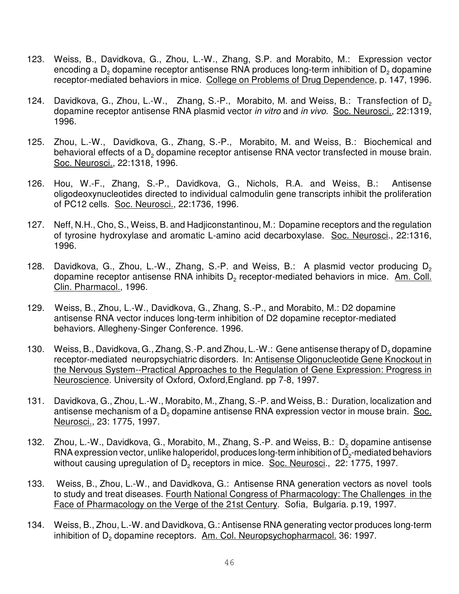- 123. Weiss, B., Davidkova, G., Zhou, L.-W., Zhang, S.P. and Morabito, M.: Expression vector encoding a  $\mathsf{D}_2$  dopamine receptor antisense RNA produces long-term inhibition of  $\mathsf{D}_2$  dopamine receptor-mediated behaviors in mice. College on Problems of Drug Dependence, p. 147, 1996.
- 124. Davidkova, G., Zhou, L.-W., Zhang, S.-P., Morabito, M. and Weiss, B.: Transfection of D<sub>2</sub> dopamine receptor antisense RNA plasmid vector in vitro and in vivo. Soc. Neurosci., 22:1319, 1996.
- 125. Zhou, L.-W., Davidkova, G., Zhang, S.-P., Morabito, M. and Weiss, B.: Biochemical and behavioral effects of a  $\mathsf{D}_2$  dopamine receptor antisense RNA vector transfected in mouse brain. Soc. Neurosci., 22:1318, 1996.
- 126. Hou, W.-F., Zhang, S.-P., Davidkova, G., Nichols, R.A. and Weiss, B.: Antisense oligodeoxynucleotides directed to individual calmodulin gene transcripts inhibit the proliferation of PC12 cells. Soc. Neurosci., 22:1736, 1996.
- 127. Neff, N.H., Cho, S., Weiss, B. and Hadjiconstantinou, M.: Dopamine receptors and the regulation of tyrosine hydroxylase and aromatic L-amino acid decarboxylase. Soc. Neurosci., 22:1316, 1996.
- 128. Davidkova, G., Zhou, L.-W., Zhang, S.-P. and Weiss, B.: A plasmid vector producing  $D_2$ dopamine receptor antisense RNA inhibits  $\mathsf{D}_2$  receptor-mediated behaviors in mice.  $\varrho_\text{Am. }$  Coll. Clin. Pharmacol., 1996.
- 129. Weiss, B., Zhou, L.-W., Davidkova, G., Zhang, S.-P., and Morabito, M.: D2 dopamine antisense RNA vector induces long-term inhibition of D2 dopamine receptor-mediated behaviors. Allegheny-Singer Conference. 1996.
- 130. Weiss, B., Davidkova, G., Zhang, S.-P. and Zhou, L.-W.: Gene antisense therapy of  $D_2$  dopamine receptor-mediated neuropsychiatric disorders. In: Antisense Oligonucleotide Gene Knockout in the Nervous System--Practical Approaches to the Regulation of Gene Expression: Progress in Neuroscience. University of Oxford, Oxford,England. pp 7-8, 1997.
- 131. Davidkova, G., Zhou, L.-W., Morabito, M., Zhang, S.-P. and Weiss, B.: Duration, localization and antisense mechanism of a D<sub>2</sub> dopamine antisense RNA expression vector in mouse brain. Soc. Neurosci., 23: 1775, 1997.
- 132. Zhou, L.-W., Davidkova, G., Morabito, M., Zhang, S.-P. and Weiss, B.:  $D_2$  dopamine antisense  ${\sf RNA}$  expression vector, unlike haloperidol, produces long-term inhibition of  ${\sf D_2}$ -mediated behaviors without causing upregulation of D<sub>2</sub> receptors in mice. Soc. Neurosci., 22: 1775, 1997.
- 133. Weiss, B., Zhou, L.-W., and Davidkova, G.: Antisense RNA generation vectors as novel tools to study and treat diseases. Fourth National Congress of Pharmacology: The Challenges in the Face of Pharmacology on the Verge of the 21st Century. Sofia, Bulgaria. p.19, 1997.
- 134. Weiss, B., Zhou, L.-W. and Davidkova, G.: Antisense RNA generating vector produces long-term inhibition of D<sub>2</sub> dopamine receptors. Am. Col. Neuropsychopharmacol. 36: 1997.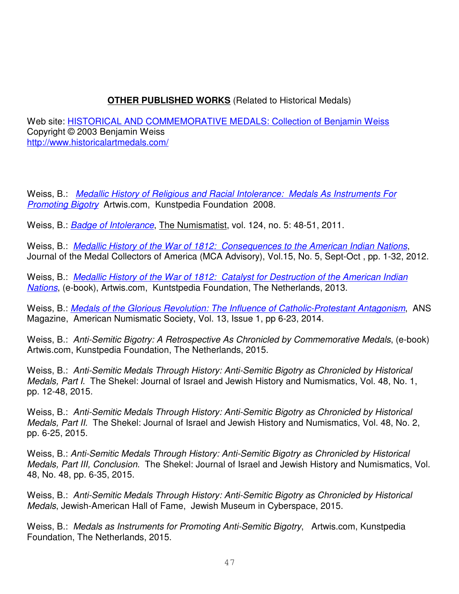## **OTHER PUBLISHED WORKS** (Related to Historical Medals)

Web site: HISTORICAL AND COMMEMORATIVE MEDALS: Collection of Benjamin Weiss Copyright © 2003 Benjamin Weiss http://www.historicalartmedals.com/

Weiss, B.: Medallic History of Religious and Racial Intolerance: Medals As Instruments For **Promoting Bigotry Artwis.com, Kunstpedia Foundation 2008.** 

Weiss, B.: *Badge of Intolerance*, The Numismatist, vol. 124, no. 5: 48-51, 2011.

Weiss, B.: Medallic History of the War of 1812: Consequences to the American Indian Nations, Journal of the Medal Collectors of America (MCA Advisory), Vol.15, No. 5, Sept-Oct , pp. 1-32, 2012.

Weiss, B.: Medallic History of the War of 1812: Catalyst for Destruction of the American Indian Nations, (e-book), Artwis.com, Kuntstpedia Foundation, The Netherlands, 2013.

Weiss, B.: Medals of the Glorious Revolution: The Influence of Catholic-Protestant Antagonism, ANS Magazine, American Numismatic Society, Vol. 13, Issue 1, pp 6-23, 2014.

Weiss, B.: Anti-Semitic Bigotry: A Retrospective As Chronicled by Commemorative Medals, (e-book) Artwis.com, Kunstpedia Foundation, The Netherlands, 2015.

Weiss, B.: Anti-Semitic Medals Through History: Anti-Semitic Bigotry as Chronicled by Historical Medals, Part I. The Shekel: Journal of Israel and Jewish History and Numismatics, Vol. 48, No. 1, pp. 12-48, 2015.

Weiss, B.: Anti-Semitic Medals Through History: Anti-Semitic Bigotry as Chronicled by Historical Medals, Part II. The Shekel: Journal of Israel and Jewish History and Numismatics, Vol. 48, No. 2, pp. 6-25, 2015.

Weiss, B.: Anti-Semitic Medals Through History: Anti-Semitic Bigotry as Chronicled by Historical Medals, Part III, Conclusion. The Shekel: Journal of Israel and Jewish History and Numismatics, Vol. 48, No. 48, pp. 6-35, 2015.

Weiss, B.: Anti-Semitic Medals Through History: Anti-Semitic Bigotry as Chronicled by Historical Medals, Jewish-American Hall of Fame, Jewish Museum in Cyberspace, 2015.

Weiss, B.: Medals as Instruments for Promoting Anti-Semitic Bigotry, Artwis.com, Kunstpedia Foundation, The Netherlands, 2015.